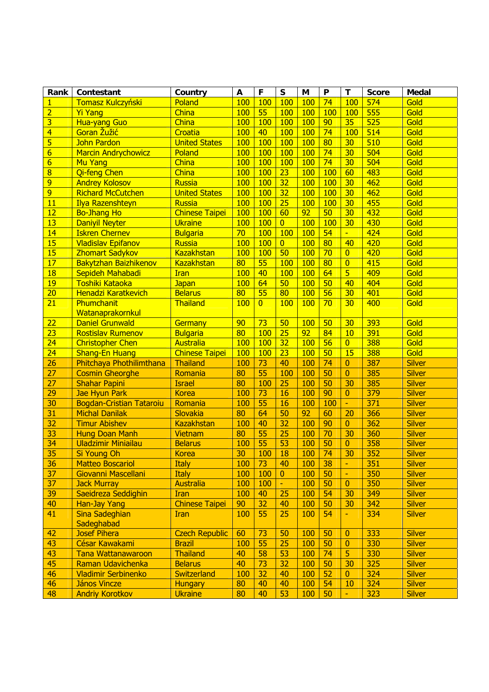| Rank                    | Contestant                      | Country               | A          | F               | $\mathsf{s}$    | M          | P               | T              | <b>Score</b>     | <b>Medal</b>  |
|-------------------------|---------------------------------|-----------------------|------------|-----------------|-----------------|------------|-----------------|----------------|------------------|---------------|
| 1                       | <b>Tomasz Kulczyński</b>        | Poland                | 100        | 100             | 100             | <b>100</b> | 74              | 100            | 574              | Gold          |
| $\overline{2}$          | <b>Yi Yang</b>                  | China                 | 100        | 55              | 100             | <b>100</b> | 100             | <b>100</b>     | 555              | Gold          |
| $\overline{3}$          | <b>Hua-yang Guo</b>             | China                 | 100        | 100             | 100             | 100        | 90              | 35             | 525              | Gold          |
| $\overline{4}$          | Goran Žužić                     | Croatia               | 100        | 40              | 100             | <b>100</b> | 74              | 100            | 514              | Gold          |
| $\overline{\mathbf{5}}$ | <b>John Pardon</b>              | <b>United States</b>  | 100        | 100             | 100             | 100        | 80              | 30             | 510              | Gold          |
| $\overline{6}$          | <b>Marcin Andrychowicz</b>      | Poland                | 100        | 100             | 100             | <b>100</b> | 74              | 30             | 504              | Gold          |
| $\overline{6}$          | <b>Mu Yang</b>                  | China                 | <b>100</b> | 100             | 100             | <b>100</b> | 74              | 30             | 504              | Gold          |
| $\overline{8}$          | Qi-feng Chen                    | China                 | <b>100</b> | 100             | 23              | <b>100</b> | 100             | 60             | 483              | Gold          |
| 9                       | <b>Andrey Kolosov</b>           | <b>Russia</b>         | <b>100</b> | 100             | 32              | <b>100</b> | 100             | 30             | 462              | Gold          |
| $\overline{9}$          | <b>Richard McCutchen</b>        | <b>United States</b>  | <b>100</b> | 100             | 32              | <b>100</b> | 100             | 30             | 462              | Gold          |
| 11                      | <b>Ilya Razenshteyn</b>         | <b>Russia</b>         | 100        | 100             | 25              | <b>100</b> | 100             | 30             | 455              | Gold          |
| 12                      | <b>Bo-Jhang Ho</b>              | <b>Chinese Taipei</b> | <b>100</b> | 100             | 60              | 92         | 50              | 30             | 432              | Gold          |
| 13                      | <b>Daniyil Neyter</b>           | <b>Ukraine</b>        | <b>100</b> | 100             | $\overline{0}$  | 100        | 100             | 30             | 430              | Gold          |
| 14                      | <b>Iskren Chernev</b>           | <b>Bulgaria</b>       | 70         | 100             | 100             | 100        | 54              | ÷.             | 424              | Gold          |
| 15                      | <b>Vladislav Epifanov</b>       | <b>Russia</b>         | <b>100</b> | <b>100</b>      | $\overline{0}$  | <b>100</b> | 80              | 40             | 420              | Gold          |
| 15                      | <b>Zhomart Sadykov</b>          | <b>Kazakhstan</b>     | <b>100</b> | 100             | 50              | 100        | 70              | $\overline{0}$ | 420              | Gold          |
| 17                      | <b>Bakytzhan Baizhikenov</b>    | <b>Kazakhstan</b>     | 80         | 55              | 100             | <b>100</b> | 80              | $\overline{0}$ | 415              | Gold          |
| 18                      | Sepideh Mahabadi                | <b>Iran</b>           | 100        | 40              | 100             | 100        | 64              | $\overline{5}$ | 409              | Gold          |
| 19                      | Toshiki Kataoka                 | <b>Japan</b>          | 100        | 64              | 50              | 100        | 50              | 40             | 404              | Gold          |
| $\overline{20}$         | Henadzi Karatkevich             | <b>Belarus</b>        | 80         | 55              | 80              | 100        | $\overline{56}$ | 30             | 401              | Gold          |
| $\overline{21}$         | Phumchanit                      | Thailand              | 100        | $\overline{0}$  | 100             | 100        | 70              | 30             | 400              | Gold          |
|                         | Watanaprakornkul                |                       |            |                 |                 |            |                 |                |                  |               |
| $\overline{22}$         | <b>Daniel Grunwald</b>          | <b>Germany</b>        | 90         | $\overline{73}$ | 50              | <b>100</b> | 50              | 30             | 393              | Gold          |
| $\overline{23}$         | <b>Rostislav Rumenov</b>        | <b>Bulgaria</b>       | 80         | 100             | $\overline{25}$ | 92         | 84              | 10             | 391              | Gold          |
| 24                      | <b>Christopher Chen</b>         | Australia             | 100        | 100             | 32              | 100        | 56              | $\overline{0}$ | 388              | Gold          |
| 24                      | <b>Shang-En Huang</b>           | <b>Chinese Taipei</b> | 100        | 100             | 23              | 100        | 50              | 15             | 388              | Gold          |
| $\overline{26}$         | Phitchaya Phothilimthana        | Thailand              | 100        | $\overline{73}$ | 40              | 100        | 74              | $\overline{0}$ | 387              | <b>Silver</b> |
| 27                      | <b>Cosmin Gheorghe</b>          | Romania               | 80         | 55              | 100             | 100        | 50              | $\overline{0}$ | 385              | <b>Silver</b> |
| $\overline{27}$         | <b>Shahar Papini</b>            | <b>Israel</b>         | 80         | 100             | 25              | 100        | 50              | 30             | 385              | <b>Silver</b> |
| $\overline{29}$         | <b>Jae Hyun Park</b>            | <b>Korea</b>          | 100        | $\overline{73}$ | 16              | 100        | 90              | $\overline{0}$ | 379              | <b>Silver</b> |
| 30                      | <b>Bogdan-Cristian Tataroiu</b> | Romania               | 100        | 55              | 16              | 100        | 100             | H.             | $\overline{371}$ | <b>Silver</b> |
| $\overline{31}$         | <b>Michal Danilak</b>           | Slovakia              | 80         | 64              | 50              | 92         | 60              | 20             | 366              | Silver        |
| 32                      | <b>Timur Abishev</b>            | <b>Kazakhstan</b>     | 100        | 40              | 32              | 100        | 90              | $\overline{0}$ | 362              | <b>Silver</b> |
| 33                      | <b>Hung Doan Manh</b>           | <b>Vietnam</b>        | 80         | 55              | 25              | 100        | 70              | 30             | 360              | <b>Silver</b> |
| $\overline{34}$         | <b>Uladzimir Miniailau</b>      | <b>Belarus</b>        | 100        | 55              | 53              | 100        | 50              | $\overline{0}$ | 358              | <b>Silver</b> |
| 35                      | <b>Si Young Oh</b>              | <b>Korea</b>          | 30         | 100             | 18              | 100        | 74              | 30             | 352              | <b>Silver</b> |
| 36                      | <b>Matteo Boscariol</b>         | <b>Italy</b>          | 100        | 73              | 40              | 100        | 38              | H              | 351              | <b>Silver</b> |
| 37                      | Giovanni Mascellani             | <b>Italy</b>          | 100        | 100             | $\mathbf{0}$    | 100        | 50              | H              | 350              | <b>Silver</b> |
| 37                      | <b>Jack Murray</b>              | Australia             | 100        | 100             | $\omega$        | 100        | 50              | $\overline{0}$ | 350              | <b>Silver</b> |
| 39                      | Saeidreza Seddighin             | <b>Iran</b>           | 100        | 40              | 25              | 100        | 54              | 30             | 349              | <b>Silver</b> |
| 40                      | <b>Han-Jay Yang</b>             | <b>Chinese Taipei</b> | 90         | 32              | 40              | 100        | 50              | 30             | 342              | <b>Silver</b> |
| 41                      | Sina Sadeghian                  | <b>Iran</b>           | 100        | 55              | 25              | 100        | 54              | H.             | 334              | <b>Silver</b> |
|                         | Sadeghabad                      |                       |            |                 |                 |            |                 |                |                  |               |
| 42                      | <b>Josef Pihera</b>             | <b>Czech Republic</b> | 60         | 73              | 50              | 100        | 50              | $\overline{0}$ | 333              | <b>Silver</b> |
| 43                      | César Kawakami                  | <b>Brazil</b>         | 100        | 55              | 25              | 100        | 50              | $\overline{0}$ | 330              | <b>Silver</b> |
| 43                      | <b>Tana Wattanawaroon</b>       | <b>Thailand</b>       | 40         | 58              | 53              | 100        | 74              | 5              | 330              | <b>Silver</b> |
| 45                      | Raman Udavichenka               | <b>Belarus</b>        | 40         | 73              | 32              | 100        | 50              | 30             | 325              | <b>Silver</b> |
| 46                      | <b>Vladimir Serbinenko</b>      | Switzerland           | 100        | 32              | 40              | 100        | 52              | $\overline{0}$ | 324              | <b>Silver</b> |
| 46                      | <b>János Vincze</b>             | <b>Hungary</b>        | 80         | 40              | 40              | 100        | 54              | 10             | 324              | <b>Silver</b> |
| 48                      | <b>Andriy Korotkov</b>          | <b>Ukraine</b>        | 80         | 40              | 53              | 100        | 50              | L.             | 323              | <b>Silver</b> |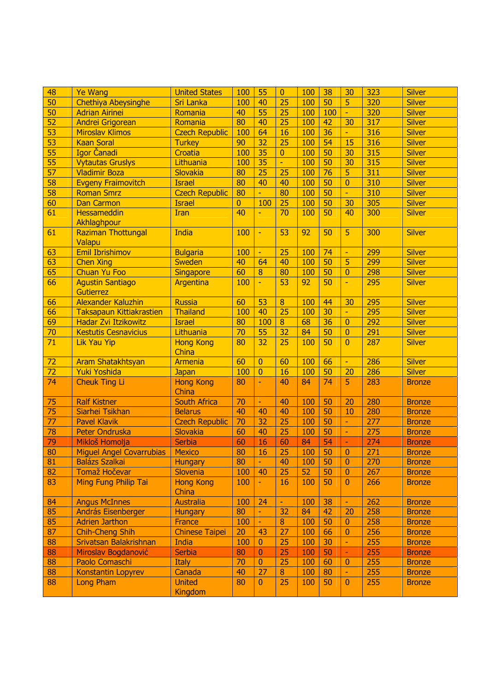| 50<br><b>Chethiya Abeysinghe</b><br>40<br>50<br>5<br>320<br><b>Sri Lanka</b><br>25<br>100<br><b>Silver</b><br>100<br>$\overline{50}$<br>55<br>320<br>40<br>25<br>100<br><b>Silver</b><br><b>Adrian Airinei</b><br>100<br>Romania<br>F<br>$\overline{52}$<br>$\overline{80}$<br>40<br>25<br>42<br>30<br>317<br><b>Silver</b><br><b>Andrei Grigorean</b><br>100<br>Romania<br>$\overline{53}$<br>64<br>36<br>316<br><b>Czech Republic</b><br><b>Miroslav Klimos</b><br>100<br>16<br>100<br><b>Silver</b><br>H.<br>$\overline{53}$<br>$\overline{32}$<br>54<br>316<br><b>Silver</b><br><b>Kaan Soral</b><br>90<br>25<br>100<br>15<br><b>Turkey</b><br>55<br>35<br>315<br>Igor Čanadi<br>100<br>50<br><b>Silver</b><br>Croatia<br>100<br>30<br>$\mathbf{0}$<br>55<br><b>Vytautas Gruslys</b><br>35<br>50<br>315<br><b>Silver</b><br>Lithuania<br>100<br>100<br>30<br>$\blacksquare$<br>$\overline{57}$<br>$\overline{311}$<br>Slovakia<br>80<br>25<br><b>Silver</b><br><b>Vladimir Boza</b><br>25<br>100<br>76<br>5<br>58<br>310<br>80<br>50<br><b>Silver</b><br><b>Evgeny Fraimovitch</b><br><b>Israel</b><br>40<br>40<br>100<br>$\overline{0}$<br>58<br><b>Czech Republic</b><br>310<br><b>Silver</b><br>80<br>80<br>100<br>50<br><b>Roman Smrz</b><br>$\omega_{\rm c}$<br>L.<br>305<br>60<br>100<br>25<br>50<br><b>Silver</b><br><b>Dan Carmon</b><br><b>Israel</b><br>$\overline{0}$<br>100<br>30<br>61<br>40<br>300<br><b>Hessameddin</b><br>70<br>100<br>50<br>40<br><b>Silver</b><br>Iran<br>L,<br>Akhlaghpour<br>India<br>5<br>300<br><b>Silver</b><br>61<br><b>Raziman Thottungal</b><br>100<br>53<br>92<br>50<br>÷,<br>Valapu<br>63<br><b>Emil Ibrishimov</b><br>299<br>100<br>25<br>100<br>74<br><b>Silver</b><br><b>Bulgaria</b><br>$\equiv$<br>н<br>63<br>5<br>299<br>40<br>40<br>50<br><b>Silver</b><br><b>Chen Xing</b><br><b>Sweden</b><br>64<br>100<br>65<br>60<br>$\overline{8}$<br>298<br><b>Chuan Yu Foo</b><br>80<br>50<br>$\overline{0}$<br><b>Silver</b><br><b>Singapore</b><br>100<br>66<br>L,<br>53<br>50<br><b>Agustin Santiago</b><br>100<br>92<br>L.<br>295<br><b>Silver</b><br>Argentina<br><b>Gutierrez</b><br>66<br>Alexander Kaluzhin<br>$\overline{53}$<br>60<br>$\bf{8}$<br>44<br>30<br>295<br><b>Silver</b><br><b>Russia</b><br>100<br>66<br>25<br>295<br>100<br>40<br>30<br><b>Silver</b><br><b>Thailand</b><br>100<br><b>Taksapaun Kittiakrastien</b><br>H<br>69<br>36<br>292<br>Hadar Zvi Itzikowitz<br>80<br>$\bf{8}$<br>68<br><b>Silver</b><br><b>Israel</b><br>100<br>$\overline{0}$<br>$\overline{32}$<br>70<br>70<br>55<br>50<br>291<br>Lithuania<br>84<br>$\overline{0}$<br><b>Silver</b><br><b>Kestutis Cesnavicius</b><br>71<br>80<br>32<br>25<br>50<br>287<br><b>Silver</b><br><b>Hong Kong</b><br>100<br>$\overline{0}$<br><b>Lik Yau Yip</b><br>China<br>$\overline{72}$<br>286<br><b>Aram Shatakhtsyan</b><br>60<br>60<br>100<br>66<br><b>Silver</b><br>$\overline{0}$<br>Armenia<br>H<br>$\overline{72}$<br>Yuki Yoshida<br>100<br>$\overline{0}$<br>50<br>20<br>286<br><b>Silver</b><br>16<br>100<br><b>Japan</b><br>74<br>74<br>5<br>283<br><b>Cheuk Ting Li</b><br><b>Hong Kong</b><br>80<br>40<br>84<br><b>Bronze</b><br>China<br>75<br>70<br>280<br>50<br><b>Ralf Kistner</b><br><b>South Africa</b><br>40<br>100<br>20<br><b>Bronze</b><br>75<br>50<br>280<br>Siarhei Tsikhan<br><b>Belarus</b><br>40<br>40<br>40<br>100<br>10<br><b>Bronze</b><br>77<br>70<br>32<br>25<br>50<br><b>Pavel Klavik</b><br>100<br>277<br><b>Czech Republic</b><br><b>Bronze</b><br>н<br>78<br>50<br>275<br>Slovakia<br>60<br>40<br>25<br><b>Peter Ondruska</b><br>100<br><b>Bronze</b><br>н<br>79<br>54<br>Mikloš Homolja<br>Serbia<br>60<br>16<br>84<br>274<br>60<br><b>Bronze</b><br>L<br>80<br>25<br>50<br><b>Miguel Angel Covarrubias</b><br>80<br>16<br>100<br>271<br><b>Mexico</b><br>$\overline{0}$<br><b>Bronze</b><br>81<br>50<br><b>Balázs Szalkai</b><br>80<br>40<br>270<br><b>Hungary</b><br>÷<br>100<br>$\mathbf{0}$<br><b>Bronze</b><br>82<br><b>Tomaž Hočevar</b><br>Slovenia<br>100<br>50<br>267<br>40<br>25<br>52<br>$\bf{0}$<br><b>Bronze</b><br>83<br>Ming Fung Philip Tai<br>266<br><b>Hong Kong</b><br>100<br>50<br>16<br>100<br>$\bf{0}$<br><b>Bronze</b><br>÷<br>China<br>84<br><b>Australia</b><br>262<br><b>Angus McInnes</b><br>100<br>24<br>38<br>100<br><b>Bronze</b><br>H<br>۰<br>85<br>80<br>32<br>42<br>20<br>258<br>András Eisenberger<br><b>Hungary</b><br>84<br><b>Bronze</b><br>$\blacksquare$<br>85<br>50<br>258<br><b>Adrien Jarthon</b><br>100<br>$\boldsymbol{8}$<br>100<br><b>Bronze</b><br>France<br>$\bf{0}$<br>$\blacksquare$<br>87<br><b>Chinese Taipei</b><br>256<br><b>Chih-Cheng Shih</b><br>20<br>27<br>100<br>43<br>66<br>$\mathbf{0}$<br><b>Bronze</b><br>255<br>88<br>Srivatsan Balakrishnan<br>25<br>100<br>30<br>India<br>100<br>$\mathbf{0}$<br><b>Bronze</b><br>H.<br>88<br>80<br>25<br>255<br>Miroslav Bogdanović<br><b>Serbia</b><br>100<br>50<br>$\bf{0}$<br><b>Bronze</b><br>H.<br>88<br>70<br>25<br>255<br>Paolo Comaschi<br><b>Italy</b><br>$\mathbf{0}$<br>60<br>100<br>$\mathbf{0}$<br><b>Bronze</b><br>88<br>27<br>255<br><b>Konstantin Lopyrev</b><br>Canada<br>40<br>$\boldsymbol{8}$<br>80<br>100<br><b>Bronze</b><br>H.<br>88<br><b>United</b><br>80<br>25<br>255<br><b>Long Pham</b><br>100<br>50<br>$\bf{0}$<br>$\bf{0}$<br><b>Bronze</b> | 48 | <b>Ye Wang</b> | <b>United States</b> | 100 | 55 | $\overline{0}$ | 100 | 38 | 30 | 323 | <b>Silver</b> |
|---------------------------------------------------------------------------------------------------------------------------------------------------------------------------------------------------------------------------------------------------------------------------------------------------------------------------------------------------------------------------------------------------------------------------------------------------------------------------------------------------------------------------------------------------------------------------------------------------------------------------------------------------------------------------------------------------------------------------------------------------------------------------------------------------------------------------------------------------------------------------------------------------------------------------------------------------------------------------------------------------------------------------------------------------------------------------------------------------------------------------------------------------------------------------------------------------------------------------------------------------------------------------------------------------------------------------------------------------------------------------------------------------------------------------------------------------------------------------------------------------------------------------------------------------------------------------------------------------------------------------------------------------------------------------------------------------------------------------------------------------------------------------------------------------------------------------------------------------------------------------------------------------------------------------------------------------------------------------------------------------------------------------------------------------------------------------------------------------------------------------------------------------------------------------------------------------------------------------------------------------------------------------------------------------------------------------------------------------------------------------------------------------------------------------------------------------------------------------------------------------------------------------------------------------------------------------------------------------------------------------------------------------------------------------------------------------------------------------------------------------------------------------------------------------------------------------------------------------------------------------------------------------------------------------------------------------------------------------------------------------------------------------------------------------------------------------------------------------------------------------------------------------------------------------------------------------------------------------------------------------------------------------------------------------------------------------------------------------------------------------------------------------------------------------------------------------------------------------------------------------------------------------------------------------------------------------------------------------------------------------------------------------------------------------------------------------------------------------------------------------------------------------------------------------------------------------------------------------------------------------------------------------------------------------------------------------------------------------------------------------------------------------------------------------------------------------------------------------------------------------------------------------------------------------------------------------------------------------------------------------------------------------------------------------------------------------------------------------------------------------------------------------------------------------------------------------------------------------------------------------------------------------------------------------------------------------------------------------------------------------------------------------------------------------------------------------------------------------------------------------------------------------------------------------------------------------------------------------------------------------------------------------------------------------------------------------------------------------------------------------------------------------------------------------------------------------------------------------------------------------------------------------------------------------------------------------------------------------------------------------------------------------------------------------------------------------------------------------|----|----------------|----------------------|-----|----|----------------|-----|----|----|-----|---------------|
|                                                                                                                                                                                                                                                                                                                                                                                                                                                                                                                                                                                                                                                                                                                                                                                                                                                                                                                                                                                                                                                                                                                                                                                                                                                                                                                                                                                                                                                                                                                                                                                                                                                                                                                                                                                                                                                                                                                                                                                                                                                                                                                                                                                                                                                                                                                                                                                                                                                                                                                                                                                                                                                                                                                                                                                                                                                                                                                                                                                                                                                                                                                                                                                                                                                                                                                                                                                                                                                                                                                                                                                                                                                                                                                                                                                                                                                                                                                                                                                                                                                                                                                                                                                                                                                                                                                                                                                                                                                                                                                                                                                                                                                                                                                                                                                                                                                                                                                                                                                                                                                                                                                                                                                                                                                                                                                                                   |    |                |                      |     |    |                |     |    |    |     |               |
|                                                                                                                                                                                                                                                                                                                                                                                                                                                                                                                                                                                                                                                                                                                                                                                                                                                                                                                                                                                                                                                                                                                                                                                                                                                                                                                                                                                                                                                                                                                                                                                                                                                                                                                                                                                                                                                                                                                                                                                                                                                                                                                                                                                                                                                                                                                                                                                                                                                                                                                                                                                                                                                                                                                                                                                                                                                                                                                                                                                                                                                                                                                                                                                                                                                                                                                                                                                                                                                                                                                                                                                                                                                                                                                                                                                                                                                                                                                                                                                                                                                                                                                                                                                                                                                                                                                                                                                                                                                                                                                                                                                                                                                                                                                                                                                                                                                                                                                                                                                                                                                                                                                                                                                                                                                                                                                                                   |    |                |                      |     |    |                |     |    |    |     |               |
|                                                                                                                                                                                                                                                                                                                                                                                                                                                                                                                                                                                                                                                                                                                                                                                                                                                                                                                                                                                                                                                                                                                                                                                                                                                                                                                                                                                                                                                                                                                                                                                                                                                                                                                                                                                                                                                                                                                                                                                                                                                                                                                                                                                                                                                                                                                                                                                                                                                                                                                                                                                                                                                                                                                                                                                                                                                                                                                                                                                                                                                                                                                                                                                                                                                                                                                                                                                                                                                                                                                                                                                                                                                                                                                                                                                                                                                                                                                                                                                                                                                                                                                                                                                                                                                                                                                                                                                                                                                                                                                                                                                                                                                                                                                                                                                                                                                                                                                                                                                                                                                                                                                                                                                                                                                                                                                                                   |    |                |                      |     |    |                |     |    |    |     |               |
|                                                                                                                                                                                                                                                                                                                                                                                                                                                                                                                                                                                                                                                                                                                                                                                                                                                                                                                                                                                                                                                                                                                                                                                                                                                                                                                                                                                                                                                                                                                                                                                                                                                                                                                                                                                                                                                                                                                                                                                                                                                                                                                                                                                                                                                                                                                                                                                                                                                                                                                                                                                                                                                                                                                                                                                                                                                                                                                                                                                                                                                                                                                                                                                                                                                                                                                                                                                                                                                                                                                                                                                                                                                                                                                                                                                                                                                                                                                                                                                                                                                                                                                                                                                                                                                                                                                                                                                                                                                                                                                                                                                                                                                                                                                                                                                                                                                                                                                                                                                                                                                                                                                                                                                                                                                                                                                                                   |    |                |                      |     |    |                |     |    |    |     |               |
|                                                                                                                                                                                                                                                                                                                                                                                                                                                                                                                                                                                                                                                                                                                                                                                                                                                                                                                                                                                                                                                                                                                                                                                                                                                                                                                                                                                                                                                                                                                                                                                                                                                                                                                                                                                                                                                                                                                                                                                                                                                                                                                                                                                                                                                                                                                                                                                                                                                                                                                                                                                                                                                                                                                                                                                                                                                                                                                                                                                                                                                                                                                                                                                                                                                                                                                                                                                                                                                                                                                                                                                                                                                                                                                                                                                                                                                                                                                                                                                                                                                                                                                                                                                                                                                                                                                                                                                                                                                                                                                                                                                                                                                                                                                                                                                                                                                                                                                                                                                                                                                                                                                                                                                                                                                                                                                                                   |    |                |                      |     |    |                |     |    |    |     |               |
|                                                                                                                                                                                                                                                                                                                                                                                                                                                                                                                                                                                                                                                                                                                                                                                                                                                                                                                                                                                                                                                                                                                                                                                                                                                                                                                                                                                                                                                                                                                                                                                                                                                                                                                                                                                                                                                                                                                                                                                                                                                                                                                                                                                                                                                                                                                                                                                                                                                                                                                                                                                                                                                                                                                                                                                                                                                                                                                                                                                                                                                                                                                                                                                                                                                                                                                                                                                                                                                                                                                                                                                                                                                                                                                                                                                                                                                                                                                                                                                                                                                                                                                                                                                                                                                                                                                                                                                                                                                                                                                                                                                                                                                                                                                                                                                                                                                                                                                                                                                                                                                                                                                                                                                                                                                                                                                                                   |    |                |                      |     |    |                |     |    |    |     |               |
|                                                                                                                                                                                                                                                                                                                                                                                                                                                                                                                                                                                                                                                                                                                                                                                                                                                                                                                                                                                                                                                                                                                                                                                                                                                                                                                                                                                                                                                                                                                                                                                                                                                                                                                                                                                                                                                                                                                                                                                                                                                                                                                                                                                                                                                                                                                                                                                                                                                                                                                                                                                                                                                                                                                                                                                                                                                                                                                                                                                                                                                                                                                                                                                                                                                                                                                                                                                                                                                                                                                                                                                                                                                                                                                                                                                                                                                                                                                                                                                                                                                                                                                                                                                                                                                                                                                                                                                                                                                                                                                                                                                                                                                                                                                                                                                                                                                                                                                                                                                                                                                                                                                                                                                                                                                                                                                                                   |    |                |                      |     |    |                |     |    |    |     |               |
|                                                                                                                                                                                                                                                                                                                                                                                                                                                                                                                                                                                                                                                                                                                                                                                                                                                                                                                                                                                                                                                                                                                                                                                                                                                                                                                                                                                                                                                                                                                                                                                                                                                                                                                                                                                                                                                                                                                                                                                                                                                                                                                                                                                                                                                                                                                                                                                                                                                                                                                                                                                                                                                                                                                                                                                                                                                                                                                                                                                                                                                                                                                                                                                                                                                                                                                                                                                                                                                                                                                                                                                                                                                                                                                                                                                                                                                                                                                                                                                                                                                                                                                                                                                                                                                                                                                                                                                                                                                                                                                                                                                                                                                                                                                                                                                                                                                                                                                                                                                                                                                                                                                                                                                                                                                                                                                                                   |    |                |                      |     |    |                |     |    |    |     |               |
|                                                                                                                                                                                                                                                                                                                                                                                                                                                                                                                                                                                                                                                                                                                                                                                                                                                                                                                                                                                                                                                                                                                                                                                                                                                                                                                                                                                                                                                                                                                                                                                                                                                                                                                                                                                                                                                                                                                                                                                                                                                                                                                                                                                                                                                                                                                                                                                                                                                                                                                                                                                                                                                                                                                                                                                                                                                                                                                                                                                                                                                                                                                                                                                                                                                                                                                                                                                                                                                                                                                                                                                                                                                                                                                                                                                                                                                                                                                                                                                                                                                                                                                                                                                                                                                                                                                                                                                                                                                                                                                                                                                                                                                                                                                                                                                                                                                                                                                                                                                                                                                                                                                                                                                                                                                                                                                                                   |    |                |                      |     |    |                |     |    |    |     |               |
|                                                                                                                                                                                                                                                                                                                                                                                                                                                                                                                                                                                                                                                                                                                                                                                                                                                                                                                                                                                                                                                                                                                                                                                                                                                                                                                                                                                                                                                                                                                                                                                                                                                                                                                                                                                                                                                                                                                                                                                                                                                                                                                                                                                                                                                                                                                                                                                                                                                                                                                                                                                                                                                                                                                                                                                                                                                                                                                                                                                                                                                                                                                                                                                                                                                                                                                                                                                                                                                                                                                                                                                                                                                                                                                                                                                                                                                                                                                                                                                                                                                                                                                                                                                                                                                                                                                                                                                                                                                                                                                                                                                                                                                                                                                                                                                                                                                                                                                                                                                                                                                                                                                                                                                                                                                                                                                                                   |    |                |                      |     |    |                |     |    |    |     |               |
|                                                                                                                                                                                                                                                                                                                                                                                                                                                                                                                                                                                                                                                                                                                                                                                                                                                                                                                                                                                                                                                                                                                                                                                                                                                                                                                                                                                                                                                                                                                                                                                                                                                                                                                                                                                                                                                                                                                                                                                                                                                                                                                                                                                                                                                                                                                                                                                                                                                                                                                                                                                                                                                                                                                                                                                                                                                                                                                                                                                                                                                                                                                                                                                                                                                                                                                                                                                                                                                                                                                                                                                                                                                                                                                                                                                                                                                                                                                                                                                                                                                                                                                                                                                                                                                                                                                                                                                                                                                                                                                                                                                                                                                                                                                                                                                                                                                                                                                                                                                                                                                                                                                                                                                                                                                                                                                                                   |    |                |                      |     |    |                |     |    |    |     |               |
|                                                                                                                                                                                                                                                                                                                                                                                                                                                                                                                                                                                                                                                                                                                                                                                                                                                                                                                                                                                                                                                                                                                                                                                                                                                                                                                                                                                                                                                                                                                                                                                                                                                                                                                                                                                                                                                                                                                                                                                                                                                                                                                                                                                                                                                                                                                                                                                                                                                                                                                                                                                                                                                                                                                                                                                                                                                                                                                                                                                                                                                                                                                                                                                                                                                                                                                                                                                                                                                                                                                                                                                                                                                                                                                                                                                                                                                                                                                                                                                                                                                                                                                                                                                                                                                                                                                                                                                                                                                                                                                                                                                                                                                                                                                                                                                                                                                                                                                                                                                                                                                                                                                                                                                                                                                                                                                                                   |    |                |                      |     |    |                |     |    |    |     |               |
|                                                                                                                                                                                                                                                                                                                                                                                                                                                                                                                                                                                                                                                                                                                                                                                                                                                                                                                                                                                                                                                                                                                                                                                                                                                                                                                                                                                                                                                                                                                                                                                                                                                                                                                                                                                                                                                                                                                                                                                                                                                                                                                                                                                                                                                                                                                                                                                                                                                                                                                                                                                                                                                                                                                                                                                                                                                                                                                                                                                                                                                                                                                                                                                                                                                                                                                                                                                                                                                                                                                                                                                                                                                                                                                                                                                                                                                                                                                                                                                                                                                                                                                                                                                                                                                                                                                                                                                                                                                                                                                                                                                                                                                                                                                                                                                                                                                                                                                                                                                                                                                                                                                                                                                                                                                                                                                                                   |    |                |                      |     |    |                |     |    |    |     |               |
|                                                                                                                                                                                                                                                                                                                                                                                                                                                                                                                                                                                                                                                                                                                                                                                                                                                                                                                                                                                                                                                                                                                                                                                                                                                                                                                                                                                                                                                                                                                                                                                                                                                                                                                                                                                                                                                                                                                                                                                                                                                                                                                                                                                                                                                                                                                                                                                                                                                                                                                                                                                                                                                                                                                                                                                                                                                                                                                                                                                                                                                                                                                                                                                                                                                                                                                                                                                                                                                                                                                                                                                                                                                                                                                                                                                                                                                                                                                                                                                                                                                                                                                                                                                                                                                                                                                                                                                                                                                                                                                                                                                                                                                                                                                                                                                                                                                                                                                                                                                                                                                                                                                                                                                                                                                                                                                                                   |    |                |                      |     |    |                |     |    |    |     |               |
|                                                                                                                                                                                                                                                                                                                                                                                                                                                                                                                                                                                                                                                                                                                                                                                                                                                                                                                                                                                                                                                                                                                                                                                                                                                                                                                                                                                                                                                                                                                                                                                                                                                                                                                                                                                                                                                                                                                                                                                                                                                                                                                                                                                                                                                                                                                                                                                                                                                                                                                                                                                                                                                                                                                                                                                                                                                                                                                                                                                                                                                                                                                                                                                                                                                                                                                                                                                                                                                                                                                                                                                                                                                                                                                                                                                                                                                                                                                                                                                                                                                                                                                                                                                                                                                                                                                                                                                                                                                                                                                                                                                                                                                                                                                                                                                                                                                                                                                                                                                                                                                                                                                                                                                                                                                                                                                                                   |    |                |                      |     |    |                |     |    |    |     |               |
|                                                                                                                                                                                                                                                                                                                                                                                                                                                                                                                                                                                                                                                                                                                                                                                                                                                                                                                                                                                                                                                                                                                                                                                                                                                                                                                                                                                                                                                                                                                                                                                                                                                                                                                                                                                                                                                                                                                                                                                                                                                                                                                                                                                                                                                                                                                                                                                                                                                                                                                                                                                                                                                                                                                                                                                                                                                                                                                                                                                                                                                                                                                                                                                                                                                                                                                                                                                                                                                                                                                                                                                                                                                                                                                                                                                                                                                                                                                                                                                                                                                                                                                                                                                                                                                                                                                                                                                                                                                                                                                                                                                                                                                                                                                                                                                                                                                                                                                                                                                                                                                                                                                                                                                                                                                                                                                                                   |    |                |                      |     |    |                |     |    |    |     |               |
|                                                                                                                                                                                                                                                                                                                                                                                                                                                                                                                                                                                                                                                                                                                                                                                                                                                                                                                                                                                                                                                                                                                                                                                                                                                                                                                                                                                                                                                                                                                                                                                                                                                                                                                                                                                                                                                                                                                                                                                                                                                                                                                                                                                                                                                                                                                                                                                                                                                                                                                                                                                                                                                                                                                                                                                                                                                                                                                                                                                                                                                                                                                                                                                                                                                                                                                                                                                                                                                                                                                                                                                                                                                                                                                                                                                                                                                                                                                                                                                                                                                                                                                                                                                                                                                                                                                                                                                                                                                                                                                                                                                                                                                                                                                                                                                                                                                                                                                                                                                                                                                                                                                                                                                                                                                                                                                                                   |    |                |                      |     |    |                |     |    |    |     |               |
|                                                                                                                                                                                                                                                                                                                                                                                                                                                                                                                                                                                                                                                                                                                                                                                                                                                                                                                                                                                                                                                                                                                                                                                                                                                                                                                                                                                                                                                                                                                                                                                                                                                                                                                                                                                                                                                                                                                                                                                                                                                                                                                                                                                                                                                                                                                                                                                                                                                                                                                                                                                                                                                                                                                                                                                                                                                                                                                                                                                                                                                                                                                                                                                                                                                                                                                                                                                                                                                                                                                                                                                                                                                                                                                                                                                                                                                                                                                                                                                                                                                                                                                                                                                                                                                                                                                                                                                                                                                                                                                                                                                                                                                                                                                                                                                                                                                                                                                                                                                                                                                                                                                                                                                                                                                                                                                                                   |    |                |                      |     |    |                |     |    |    |     |               |
|                                                                                                                                                                                                                                                                                                                                                                                                                                                                                                                                                                                                                                                                                                                                                                                                                                                                                                                                                                                                                                                                                                                                                                                                                                                                                                                                                                                                                                                                                                                                                                                                                                                                                                                                                                                                                                                                                                                                                                                                                                                                                                                                                                                                                                                                                                                                                                                                                                                                                                                                                                                                                                                                                                                                                                                                                                                                                                                                                                                                                                                                                                                                                                                                                                                                                                                                                                                                                                                                                                                                                                                                                                                                                                                                                                                                                                                                                                                                                                                                                                                                                                                                                                                                                                                                                                                                                                                                                                                                                                                                                                                                                                                                                                                                                                                                                                                                                                                                                                                                                                                                                                                                                                                                                                                                                                                                                   |    |                |                      |     |    |                |     |    |    |     |               |
|                                                                                                                                                                                                                                                                                                                                                                                                                                                                                                                                                                                                                                                                                                                                                                                                                                                                                                                                                                                                                                                                                                                                                                                                                                                                                                                                                                                                                                                                                                                                                                                                                                                                                                                                                                                                                                                                                                                                                                                                                                                                                                                                                                                                                                                                                                                                                                                                                                                                                                                                                                                                                                                                                                                                                                                                                                                                                                                                                                                                                                                                                                                                                                                                                                                                                                                                                                                                                                                                                                                                                                                                                                                                                                                                                                                                                                                                                                                                                                                                                                                                                                                                                                                                                                                                                                                                                                                                                                                                                                                                                                                                                                                                                                                                                                                                                                                                                                                                                                                                                                                                                                                                                                                                                                                                                                                                                   |    |                |                      |     |    |                |     |    |    |     |               |
|                                                                                                                                                                                                                                                                                                                                                                                                                                                                                                                                                                                                                                                                                                                                                                                                                                                                                                                                                                                                                                                                                                                                                                                                                                                                                                                                                                                                                                                                                                                                                                                                                                                                                                                                                                                                                                                                                                                                                                                                                                                                                                                                                                                                                                                                                                                                                                                                                                                                                                                                                                                                                                                                                                                                                                                                                                                                                                                                                                                                                                                                                                                                                                                                                                                                                                                                                                                                                                                                                                                                                                                                                                                                                                                                                                                                                                                                                                                                                                                                                                                                                                                                                                                                                                                                                                                                                                                                                                                                                                                                                                                                                                                                                                                                                                                                                                                                                                                                                                                                                                                                                                                                                                                                                                                                                                                                                   |    |                |                      |     |    |                |     |    |    |     |               |
|                                                                                                                                                                                                                                                                                                                                                                                                                                                                                                                                                                                                                                                                                                                                                                                                                                                                                                                                                                                                                                                                                                                                                                                                                                                                                                                                                                                                                                                                                                                                                                                                                                                                                                                                                                                                                                                                                                                                                                                                                                                                                                                                                                                                                                                                                                                                                                                                                                                                                                                                                                                                                                                                                                                                                                                                                                                                                                                                                                                                                                                                                                                                                                                                                                                                                                                                                                                                                                                                                                                                                                                                                                                                                                                                                                                                                                                                                                                                                                                                                                                                                                                                                                                                                                                                                                                                                                                                                                                                                                                                                                                                                                                                                                                                                                                                                                                                                                                                                                                                                                                                                                                                                                                                                                                                                                                                                   |    |                |                      |     |    |                |     |    |    |     |               |
|                                                                                                                                                                                                                                                                                                                                                                                                                                                                                                                                                                                                                                                                                                                                                                                                                                                                                                                                                                                                                                                                                                                                                                                                                                                                                                                                                                                                                                                                                                                                                                                                                                                                                                                                                                                                                                                                                                                                                                                                                                                                                                                                                                                                                                                                                                                                                                                                                                                                                                                                                                                                                                                                                                                                                                                                                                                                                                                                                                                                                                                                                                                                                                                                                                                                                                                                                                                                                                                                                                                                                                                                                                                                                                                                                                                                                                                                                                                                                                                                                                                                                                                                                                                                                                                                                                                                                                                                                                                                                                                                                                                                                                                                                                                                                                                                                                                                                                                                                                                                                                                                                                                                                                                                                                                                                                                                                   |    |                |                      |     |    |                |     |    |    |     |               |
|                                                                                                                                                                                                                                                                                                                                                                                                                                                                                                                                                                                                                                                                                                                                                                                                                                                                                                                                                                                                                                                                                                                                                                                                                                                                                                                                                                                                                                                                                                                                                                                                                                                                                                                                                                                                                                                                                                                                                                                                                                                                                                                                                                                                                                                                                                                                                                                                                                                                                                                                                                                                                                                                                                                                                                                                                                                                                                                                                                                                                                                                                                                                                                                                                                                                                                                                                                                                                                                                                                                                                                                                                                                                                                                                                                                                                                                                                                                                                                                                                                                                                                                                                                                                                                                                                                                                                                                                                                                                                                                                                                                                                                                                                                                                                                                                                                                                                                                                                                                                                                                                                                                                                                                                                                                                                                                                                   |    |                |                      |     |    |                |     |    |    |     |               |
|                                                                                                                                                                                                                                                                                                                                                                                                                                                                                                                                                                                                                                                                                                                                                                                                                                                                                                                                                                                                                                                                                                                                                                                                                                                                                                                                                                                                                                                                                                                                                                                                                                                                                                                                                                                                                                                                                                                                                                                                                                                                                                                                                                                                                                                                                                                                                                                                                                                                                                                                                                                                                                                                                                                                                                                                                                                                                                                                                                                                                                                                                                                                                                                                                                                                                                                                                                                                                                                                                                                                                                                                                                                                                                                                                                                                                                                                                                                                                                                                                                                                                                                                                                                                                                                                                                                                                                                                                                                                                                                                                                                                                                                                                                                                                                                                                                                                                                                                                                                                                                                                                                                                                                                                                                                                                                                                                   |    |                |                      |     |    |                |     |    |    |     |               |
|                                                                                                                                                                                                                                                                                                                                                                                                                                                                                                                                                                                                                                                                                                                                                                                                                                                                                                                                                                                                                                                                                                                                                                                                                                                                                                                                                                                                                                                                                                                                                                                                                                                                                                                                                                                                                                                                                                                                                                                                                                                                                                                                                                                                                                                                                                                                                                                                                                                                                                                                                                                                                                                                                                                                                                                                                                                                                                                                                                                                                                                                                                                                                                                                                                                                                                                                                                                                                                                                                                                                                                                                                                                                                                                                                                                                                                                                                                                                                                                                                                                                                                                                                                                                                                                                                                                                                                                                                                                                                                                                                                                                                                                                                                                                                                                                                                                                                                                                                                                                                                                                                                                                                                                                                                                                                                                                                   |    |                |                      |     |    |                |     |    |    |     |               |
|                                                                                                                                                                                                                                                                                                                                                                                                                                                                                                                                                                                                                                                                                                                                                                                                                                                                                                                                                                                                                                                                                                                                                                                                                                                                                                                                                                                                                                                                                                                                                                                                                                                                                                                                                                                                                                                                                                                                                                                                                                                                                                                                                                                                                                                                                                                                                                                                                                                                                                                                                                                                                                                                                                                                                                                                                                                                                                                                                                                                                                                                                                                                                                                                                                                                                                                                                                                                                                                                                                                                                                                                                                                                                                                                                                                                                                                                                                                                                                                                                                                                                                                                                                                                                                                                                                                                                                                                                                                                                                                                                                                                                                                                                                                                                                                                                                                                                                                                                                                                                                                                                                                                                                                                                                                                                                                                                   |    |                |                      |     |    |                |     |    |    |     |               |
|                                                                                                                                                                                                                                                                                                                                                                                                                                                                                                                                                                                                                                                                                                                                                                                                                                                                                                                                                                                                                                                                                                                                                                                                                                                                                                                                                                                                                                                                                                                                                                                                                                                                                                                                                                                                                                                                                                                                                                                                                                                                                                                                                                                                                                                                                                                                                                                                                                                                                                                                                                                                                                                                                                                                                                                                                                                                                                                                                                                                                                                                                                                                                                                                                                                                                                                                                                                                                                                                                                                                                                                                                                                                                                                                                                                                                                                                                                                                                                                                                                                                                                                                                                                                                                                                                                                                                                                                                                                                                                                                                                                                                                                                                                                                                                                                                                                                                                                                                                                                                                                                                                                                                                                                                                                                                                                                                   |    |                |                      |     |    |                |     |    |    |     |               |
|                                                                                                                                                                                                                                                                                                                                                                                                                                                                                                                                                                                                                                                                                                                                                                                                                                                                                                                                                                                                                                                                                                                                                                                                                                                                                                                                                                                                                                                                                                                                                                                                                                                                                                                                                                                                                                                                                                                                                                                                                                                                                                                                                                                                                                                                                                                                                                                                                                                                                                                                                                                                                                                                                                                                                                                                                                                                                                                                                                                                                                                                                                                                                                                                                                                                                                                                                                                                                                                                                                                                                                                                                                                                                                                                                                                                                                                                                                                                                                                                                                                                                                                                                                                                                                                                                                                                                                                                                                                                                                                                                                                                                                                                                                                                                                                                                                                                                                                                                                                                                                                                                                                                                                                                                                                                                                                                                   |    |                |                      |     |    |                |     |    |    |     |               |
|                                                                                                                                                                                                                                                                                                                                                                                                                                                                                                                                                                                                                                                                                                                                                                                                                                                                                                                                                                                                                                                                                                                                                                                                                                                                                                                                                                                                                                                                                                                                                                                                                                                                                                                                                                                                                                                                                                                                                                                                                                                                                                                                                                                                                                                                                                                                                                                                                                                                                                                                                                                                                                                                                                                                                                                                                                                                                                                                                                                                                                                                                                                                                                                                                                                                                                                                                                                                                                                                                                                                                                                                                                                                                                                                                                                                                                                                                                                                                                                                                                                                                                                                                                                                                                                                                                                                                                                                                                                                                                                                                                                                                                                                                                                                                                                                                                                                                                                                                                                                                                                                                                                                                                                                                                                                                                                                                   |    |                |                      |     |    |                |     |    |    |     |               |
|                                                                                                                                                                                                                                                                                                                                                                                                                                                                                                                                                                                                                                                                                                                                                                                                                                                                                                                                                                                                                                                                                                                                                                                                                                                                                                                                                                                                                                                                                                                                                                                                                                                                                                                                                                                                                                                                                                                                                                                                                                                                                                                                                                                                                                                                                                                                                                                                                                                                                                                                                                                                                                                                                                                                                                                                                                                                                                                                                                                                                                                                                                                                                                                                                                                                                                                                                                                                                                                                                                                                                                                                                                                                                                                                                                                                                                                                                                                                                                                                                                                                                                                                                                                                                                                                                                                                                                                                                                                                                                                                                                                                                                                                                                                                                                                                                                                                                                                                                                                                                                                                                                                                                                                                                                                                                                                                                   |    |                |                      |     |    |                |     |    |    |     |               |
|                                                                                                                                                                                                                                                                                                                                                                                                                                                                                                                                                                                                                                                                                                                                                                                                                                                                                                                                                                                                                                                                                                                                                                                                                                                                                                                                                                                                                                                                                                                                                                                                                                                                                                                                                                                                                                                                                                                                                                                                                                                                                                                                                                                                                                                                                                                                                                                                                                                                                                                                                                                                                                                                                                                                                                                                                                                                                                                                                                                                                                                                                                                                                                                                                                                                                                                                                                                                                                                                                                                                                                                                                                                                                                                                                                                                                                                                                                                                                                                                                                                                                                                                                                                                                                                                                                                                                                                                                                                                                                                                                                                                                                                                                                                                                                                                                                                                                                                                                                                                                                                                                                                                                                                                                                                                                                                                                   |    |                |                      |     |    |                |     |    |    |     |               |
|                                                                                                                                                                                                                                                                                                                                                                                                                                                                                                                                                                                                                                                                                                                                                                                                                                                                                                                                                                                                                                                                                                                                                                                                                                                                                                                                                                                                                                                                                                                                                                                                                                                                                                                                                                                                                                                                                                                                                                                                                                                                                                                                                                                                                                                                                                                                                                                                                                                                                                                                                                                                                                                                                                                                                                                                                                                                                                                                                                                                                                                                                                                                                                                                                                                                                                                                                                                                                                                                                                                                                                                                                                                                                                                                                                                                                                                                                                                                                                                                                                                                                                                                                                                                                                                                                                                                                                                                                                                                                                                                                                                                                                                                                                                                                                                                                                                                                                                                                                                                                                                                                                                                                                                                                                                                                                                                                   |    |                |                      |     |    |                |     |    |    |     |               |
|                                                                                                                                                                                                                                                                                                                                                                                                                                                                                                                                                                                                                                                                                                                                                                                                                                                                                                                                                                                                                                                                                                                                                                                                                                                                                                                                                                                                                                                                                                                                                                                                                                                                                                                                                                                                                                                                                                                                                                                                                                                                                                                                                                                                                                                                                                                                                                                                                                                                                                                                                                                                                                                                                                                                                                                                                                                                                                                                                                                                                                                                                                                                                                                                                                                                                                                                                                                                                                                                                                                                                                                                                                                                                                                                                                                                                                                                                                                                                                                                                                                                                                                                                                                                                                                                                                                                                                                                                                                                                                                                                                                                                                                                                                                                                                                                                                                                                                                                                                                                                                                                                                                                                                                                                                                                                                                                                   |    |                |                      |     |    |                |     |    |    |     |               |
|                                                                                                                                                                                                                                                                                                                                                                                                                                                                                                                                                                                                                                                                                                                                                                                                                                                                                                                                                                                                                                                                                                                                                                                                                                                                                                                                                                                                                                                                                                                                                                                                                                                                                                                                                                                                                                                                                                                                                                                                                                                                                                                                                                                                                                                                                                                                                                                                                                                                                                                                                                                                                                                                                                                                                                                                                                                                                                                                                                                                                                                                                                                                                                                                                                                                                                                                                                                                                                                                                                                                                                                                                                                                                                                                                                                                                                                                                                                                                                                                                                                                                                                                                                                                                                                                                                                                                                                                                                                                                                                                                                                                                                                                                                                                                                                                                                                                                                                                                                                                                                                                                                                                                                                                                                                                                                                                                   |    |                |                      |     |    |                |     |    |    |     |               |
|                                                                                                                                                                                                                                                                                                                                                                                                                                                                                                                                                                                                                                                                                                                                                                                                                                                                                                                                                                                                                                                                                                                                                                                                                                                                                                                                                                                                                                                                                                                                                                                                                                                                                                                                                                                                                                                                                                                                                                                                                                                                                                                                                                                                                                                                                                                                                                                                                                                                                                                                                                                                                                                                                                                                                                                                                                                                                                                                                                                                                                                                                                                                                                                                                                                                                                                                                                                                                                                                                                                                                                                                                                                                                                                                                                                                                                                                                                                                                                                                                                                                                                                                                                                                                                                                                                                                                                                                                                                                                                                                                                                                                                                                                                                                                                                                                                                                                                                                                                                                                                                                                                                                                                                                                                                                                                                                                   |    |                |                      |     |    |                |     |    |    |     |               |
|                                                                                                                                                                                                                                                                                                                                                                                                                                                                                                                                                                                                                                                                                                                                                                                                                                                                                                                                                                                                                                                                                                                                                                                                                                                                                                                                                                                                                                                                                                                                                                                                                                                                                                                                                                                                                                                                                                                                                                                                                                                                                                                                                                                                                                                                                                                                                                                                                                                                                                                                                                                                                                                                                                                                                                                                                                                                                                                                                                                                                                                                                                                                                                                                                                                                                                                                                                                                                                                                                                                                                                                                                                                                                                                                                                                                                                                                                                                                                                                                                                                                                                                                                                                                                                                                                                                                                                                                                                                                                                                                                                                                                                                                                                                                                                                                                                                                                                                                                                                                                                                                                                                                                                                                                                                                                                                                                   |    |                |                      |     |    |                |     |    |    |     |               |
|                                                                                                                                                                                                                                                                                                                                                                                                                                                                                                                                                                                                                                                                                                                                                                                                                                                                                                                                                                                                                                                                                                                                                                                                                                                                                                                                                                                                                                                                                                                                                                                                                                                                                                                                                                                                                                                                                                                                                                                                                                                                                                                                                                                                                                                                                                                                                                                                                                                                                                                                                                                                                                                                                                                                                                                                                                                                                                                                                                                                                                                                                                                                                                                                                                                                                                                                                                                                                                                                                                                                                                                                                                                                                                                                                                                                                                                                                                                                                                                                                                                                                                                                                                                                                                                                                                                                                                                                                                                                                                                                                                                                                                                                                                                                                                                                                                                                                                                                                                                                                                                                                                                                                                                                                                                                                                                                                   |    |                |                      |     |    |                |     |    |    |     |               |
|                                                                                                                                                                                                                                                                                                                                                                                                                                                                                                                                                                                                                                                                                                                                                                                                                                                                                                                                                                                                                                                                                                                                                                                                                                                                                                                                                                                                                                                                                                                                                                                                                                                                                                                                                                                                                                                                                                                                                                                                                                                                                                                                                                                                                                                                                                                                                                                                                                                                                                                                                                                                                                                                                                                                                                                                                                                                                                                                                                                                                                                                                                                                                                                                                                                                                                                                                                                                                                                                                                                                                                                                                                                                                                                                                                                                                                                                                                                                                                                                                                                                                                                                                                                                                                                                                                                                                                                                                                                                                                                                                                                                                                                                                                                                                                                                                                                                                                                                                                                                                                                                                                                                                                                                                                                                                                                                                   |    |                |                      |     |    |                |     |    |    |     |               |
|                                                                                                                                                                                                                                                                                                                                                                                                                                                                                                                                                                                                                                                                                                                                                                                                                                                                                                                                                                                                                                                                                                                                                                                                                                                                                                                                                                                                                                                                                                                                                                                                                                                                                                                                                                                                                                                                                                                                                                                                                                                                                                                                                                                                                                                                                                                                                                                                                                                                                                                                                                                                                                                                                                                                                                                                                                                                                                                                                                                                                                                                                                                                                                                                                                                                                                                                                                                                                                                                                                                                                                                                                                                                                                                                                                                                                                                                                                                                                                                                                                                                                                                                                                                                                                                                                                                                                                                                                                                                                                                                                                                                                                                                                                                                                                                                                                                                                                                                                                                                                                                                                                                                                                                                                                                                                                                                                   |    |                |                      |     |    |                |     |    |    |     |               |
|                                                                                                                                                                                                                                                                                                                                                                                                                                                                                                                                                                                                                                                                                                                                                                                                                                                                                                                                                                                                                                                                                                                                                                                                                                                                                                                                                                                                                                                                                                                                                                                                                                                                                                                                                                                                                                                                                                                                                                                                                                                                                                                                                                                                                                                                                                                                                                                                                                                                                                                                                                                                                                                                                                                                                                                                                                                                                                                                                                                                                                                                                                                                                                                                                                                                                                                                                                                                                                                                                                                                                                                                                                                                                                                                                                                                                                                                                                                                                                                                                                                                                                                                                                                                                                                                                                                                                                                                                                                                                                                                                                                                                                                                                                                                                                                                                                                                                                                                                                                                                                                                                                                                                                                                                                                                                                                                                   |    |                |                      |     |    |                |     |    |    |     |               |
|                                                                                                                                                                                                                                                                                                                                                                                                                                                                                                                                                                                                                                                                                                                                                                                                                                                                                                                                                                                                                                                                                                                                                                                                                                                                                                                                                                                                                                                                                                                                                                                                                                                                                                                                                                                                                                                                                                                                                                                                                                                                                                                                                                                                                                                                                                                                                                                                                                                                                                                                                                                                                                                                                                                                                                                                                                                                                                                                                                                                                                                                                                                                                                                                                                                                                                                                                                                                                                                                                                                                                                                                                                                                                                                                                                                                                                                                                                                                                                                                                                                                                                                                                                                                                                                                                                                                                                                                                                                                                                                                                                                                                                                                                                                                                                                                                                                                                                                                                                                                                                                                                                                                                                                                                                                                                                                                                   |    |                |                      |     |    |                |     |    |    |     |               |
|                                                                                                                                                                                                                                                                                                                                                                                                                                                                                                                                                                                                                                                                                                                                                                                                                                                                                                                                                                                                                                                                                                                                                                                                                                                                                                                                                                                                                                                                                                                                                                                                                                                                                                                                                                                                                                                                                                                                                                                                                                                                                                                                                                                                                                                                                                                                                                                                                                                                                                                                                                                                                                                                                                                                                                                                                                                                                                                                                                                                                                                                                                                                                                                                                                                                                                                                                                                                                                                                                                                                                                                                                                                                                                                                                                                                                                                                                                                                                                                                                                                                                                                                                                                                                                                                                                                                                                                                                                                                                                                                                                                                                                                                                                                                                                                                                                                                                                                                                                                                                                                                                                                                                                                                                                                                                                                                                   |    |                |                      |     |    |                |     |    |    |     |               |
|                                                                                                                                                                                                                                                                                                                                                                                                                                                                                                                                                                                                                                                                                                                                                                                                                                                                                                                                                                                                                                                                                                                                                                                                                                                                                                                                                                                                                                                                                                                                                                                                                                                                                                                                                                                                                                                                                                                                                                                                                                                                                                                                                                                                                                                                                                                                                                                                                                                                                                                                                                                                                                                                                                                                                                                                                                                                                                                                                                                                                                                                                                                                                                                                                                                                                                                                                                                                                                                                                                                                                                                                                                                                                                                                                                                                                                                                                                                                                                                                                                                                                                                                                                                                                                                                                                                                                                                                                                                                                                                                                                                                                                                                                                                                                                                                                                                                                                                                                                                                                                                                                                                                                                                                                                                                                                                                                   |    |                |                      |     |    |                |     |    |    |     |               |
|                                                                                                                                                                                                                                                                                                                                                                                                                                                                                                                                                                                                                                                                                                                                                                                                                                                                                                                                                                                                                                                                                                                                                                                                                                                                                                                                                                                                                                                                                                                                                                                                                                                                                                                                                                                                                                                                                                                                                                                                                                                                                                                                                                                                                                                                                                                                                                                                                                                                                                                                                                                                                                                                                                                                                                                                                                                                                                                                                                                                                                                                                                                                                                                                                                                                                                                                                                                                                                                                                                                                                                                                                                                                                                                                                                                                                                                                                                                                                                                                                                                                                                                                                                                                                                                                                                                                                                                                                                                                                                                                                                                                                                                                                                                                                                                                                                                                                                                                                                                                                                                                                                                                                                                                                                                                                                                                                   |    |                |                      |     |    |                |     |    |    |     |               |
|                                                                                                                                                                                                                                                                                                                                                                                                                                                                                                                                                                                                                                                                                                                                                                                                                                                                                                                                                                                                                                                                                                                                                                                                                                                                                                                                                                                                                                                                                                                                                                                                                                                                                                                                                                                                                                                                                                                                                                                                                                                                                                                                                                                                                                                                                                                                                                                                                                                                                                                                                                                                                                                                                                                                                                                                                                                                                                                                                                                                                                                                                                                                                                                                                                                                                                                                                                                                                                                                                                                                                                                                                                                                                                                                                                                                                                                                                                                                                                                                                                                                                                                                                                                                                                                                                                                                                                                                                                                                                                                                                                                                                                                                                                                                                                                                                                                                                                                                                                                                                                                                                                                                                                                                                                                                                                                                                   |    |                |                      |     |    |                |     |    |    |     |               |
|                                                                                                                                                                                                                                                                                                                                                                                                                                                                                                                                                                                                                                                                                                                                                                                                                                                                                                                                                                                                                                                                                                                                                                                                                                                                                                                                                                                                                                                                                                                                                                                                                                                                                                                                                                                                                                                                                                                                                                                                                                                                                                                                                                                                                                                                                                                                                                                                                                                                                                                                                                                                                                                                                                                                                                                                                                                                                                                                                                                                                                                                                                                                                                                                                                                                                                                                                                                                                                                                                                                                                                                                                                                                                                                                                                                                                                                                                                                                                                                                                                                                                                                                                                                                                                                                                                                                                                                                                                                                                                                                                                                                                                                                                                                                                                                                                                                                                                                                                                                                                                                                                                                                                                                                                                                                                                                                                   |    |                |                      |     |    |                |     |    |    |     |               |
|                                                                                                                                                                                                                                                                                                                                                                                                                                                                                                                                                                                                                                                                                                                                                                                                                                                                                                                                                                                                                                                                                                                                                                                                                                                                                                                                                                                                                                                                                                                                                                                                                                                                                                                                                                                                                                                                                                                                                                                                                                                                                                                                                                                                                                                                                                                                                                                                                                                                                                                                                                                                                                                                                                                                                                                                                                                                                                                                                                                                                                                                                                                                                                                                                                                                                                                                                                                                                                                                                                                                                                                                                                                                                                                                                                                                                                                                                                                                                                                                                                                                                                                                                                                                                                                                                                                                                                                                                                                                                                                                                                                                                                                                                                                                                                                                                                                                                                                                                                                                                                                                                                                                                                                                                                                                                                                                                   |    |                |                      |     |    |                |     |    |    |     |               |
|                                                                                                                                                                                                                                                                                                                                                                                                                                                                                                                                                                                                                                                                                                                                                                                                                                                                                                                                                                                                                                                                                                                                                                                                                                                                                                                                                                                                                                                                                                                                                                                                                                                                                                                                                                                                                                                                                                                                                                                                                                                                                                                                                                                                                                                                                                                                                                                                                                                                                                                                                                                                                                                                                                                                                                                                                                                                                                                                                                                                                                                                                                                                                                                                                                                                                                                                                                                                                                                                                                                                                                                                                                                                                                                                                                                                                                                                                                                                                                                                                                                                                                                                                                                                                                                                                                                                                                                                                                                                                                                                                                                                                                                                                                                                                                                                                                                                                                                                                                                                                                                                                                                                                                                                                                                                                                                                                   |    |                |                      |     |    |                |     |    |    |     |               |
|                                                                                                                                                                                                                                                                                                                                                                                                                                                                                                                                                                                                                                                                                                                                                                                                                                                                                                                                                                                                                                                                                                                                                                                                                                                                                                                                                                                                                                                                                                                                                                                                                                                                                                                                                                                                                                                                                                                                                                                                                                                                                                                                                                                                                                                                                                                                                                                                                                                                                                                                                                                                                                                                                                                                                                                                                                                                                                                                                                                                                                                                                                                                                                                                                                                                                                                                                                                                                                                                                                                                                                                                                                                                                                                                                                                                                                                                                                                                                                                                                                                                                                                                                                                                                                                                                                                                                                                                                                                                                                                                                                                                                                                                                                                                                                                                                                                                                                                                                                                                                                                                                                                                                                                                                                                                                                                                                   |    |                | <b>Kingdom</b>       |     |    |                |     |    |    |     |               |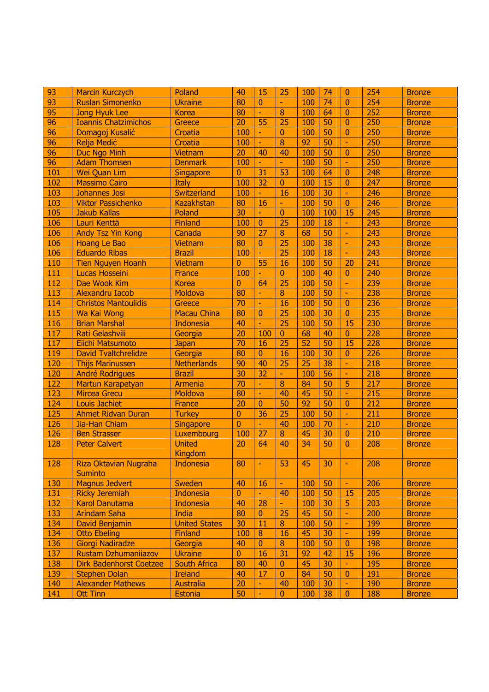| 93  | <b>Marcin Kurczych</b>         | Poland               | 40             | 15               | 25               | 100 | 74  | $\overline{0}$ | 254 | <b>Bronze</b> |
|-----|--------------------------------|----------------------|----------------|------------------|------------------|-----|-----|----------------|-----|---------------|
| 93  | <b>Ruslan Simonenko</b>        | <b>Ukraine</b>       | 80             | 0                | $\blacksquare$   | 100 | 74  | $\mathbf{0}$   | 254 | <b>Bronze</b> |
| 95  | <b>Jong Hyuk Lee</b>           | <b>Korea</b>         | 80             | ÷                | 8                | 100 | 64  | $\overline{0}$ | 252 | <b>Bronze</b> |
| 96  | <b>Ioannis Chatzimichos</b>    | Greece               | 20             | 55               | 25               | 100 | 50  | $\overline{0}$ | 250 | <b>Bronze</b> |
| 96  | Domagoj Kusalić                | Croatia              | 100            | Ξ                | $\mathbf{0}$     | 100 | 50  | $\overline{0}$ | 250 | <b>Bronze</b> |
| 96  | Relja Medić                    | Croatia              | 100            | Ξ                | 8                | 92  | 50  | H              | 250 | <b>Bronze</b> |
| 96  | <b>Duc Ngo Minh</b>            | <b>Vietnam</b>       | 20             | 40               | 40               | 100 | 50  | $\overline{0}$ | 250 | <b>Bronze</b> |
| 96  | <b>Adam Thomsen</b>            | <b>Denmark</b>       | 100            | $\equiv$         | $\blacksquare$   | 100 | 50  | H              | 250 | <b>Bronze</b> |
| 101 | <b>Wei Quan Lim</b>            | <b>Singapore</b>     | $\overline{0}$ | 31               | 53               | 100 | 64  | $\overline{0}$ | 248 | <b>Bronze</b> |
| 102 | <b>Massimo Cairo</b>           | <b>Italy</b>         | 100            | 32               | $\mathbf{0}$     | 100 | 15  | $\overline{0}$ | 247 | <b>Bronze</b> |
| 103 | Johannes Josi                  | Switzerland          | 100            | ÷.               | 16               | 100 | 30  | H              | 246 | <b>Bronze</b> |
| 103 | <b>Viktor Passichenko</b>      | <b>Kazakhstan</b>    | 80             | 16               | $\blacksquare$   | 100 | 50  | $\overline{0}$ | 246 | <b>Bronze</b> |
| 105 | <b>Jakub Kallas</b>            | Poland               | 30             | ÷.               | $\mathbf{0}$     | 100 | 100 | 15             | 245 | <b>Bronze</b> |
| 106 | Lauri Kenttä                   | <b>Finland</b>       | 100            | $\overline{0}$   | 25               | 100 | 18  | L.             | 243 | <b>Bronze</b> |
| 106 | <b>Andy Tsz Yin Kong</b>       | Canada               | 90             | 27               | 8                | 68  | 50  | L.             | 243 | <b>Bronze</b> |
| 106 | <b>Hoang Le Bao</b>            | <b>Vietnam</b>       | 80             | $\overline{0}$   | $\overline{25}$  | 100 | 38  | H              | 243 | <b>Bronze</b> |
| 106 | <b>Eduardo Ribas</b>           | <b>Brazil</b>        | 100            | ÷,               | 25               | 100 | 18  | H              | 243 | <b>Bronze</b> |
| 110 | <b>Tien Nguyen Hoanh</b>       | <b>Vietnam</b>       | $\overline{0}$ | $\overline{55}$  | 16               | 100 | 50  | 20             | 241 | <b>Bronze</b> |
| 111 | Lucas Hosseini                 | <b>France</b>        | 100            | ÷.               | $\overline{0}$   | 100 | 40  | $\overline{0}$ | 240 | <b>Bronze</b> |
| 112 | Dae Wook Kim                   | <b>Korea</b>         | $\overline{0}$ | 64               | 25               | 100 | 50  | H              | 239 | <b>Bronze</b> |
| 113 | <b>Alexandru Iacob</b>         | Moldova              | 80             | ÷                | 8                | 100 | 50  | H              | 238 | <b>Bronze</b> |
| 114 | <b>Christos Mantoulidis</b>    | Greece               | 70             |                  | 16               | 100 | 50  | $\overline{0}$ | 236 | <b>Bronze</b> |
| 115 | Wa Kai Wong                    | <b>Macau China</b>   | 80             | $\mathbf{0}$     | 25               | 100 | 30  | $\overline{0}$ | 235 | <b>Bronze</b> |
| 116 | <b>Brian Marshal</b>           | <b>Indonesia</b>     | 40             | ÷,               | $\overline{25}$  | 100 | 50  | 15             | 230 | <b>Bronze</b> |
| 117 | Rati Gelashvili                | Georgia              | 20             | 100              | $\mathbf{0}$     | 68  | 40  | $\overline{0}$ | 228 | <b>Bronze</b> |
| 117 | Eiichi Matsumoto               | <b>Japan</b>         | 70             | 16               | 25               | 52  | 50  | 15             | 228 | <b>Bronze</b> |
| 119 | <b>David Tvaltchrelidze</b>    | Georgia              | 80             | $\overline{0}$   | 16               | 100 | 30  | $\overline{0}$ | 226 | <b>Bronze</b> |
| 120 | <b>Thijs Marinussen</b>        | <b>Netherlands</b>   | 90             | 40               | 25               | 25  | 38  | H              | 218 | <b>Bronze</b> |
| 120 | <b>André Rodrigues</b>         | <b>Brazil</b>        | 30             | 32               | $\blacksquare$   | 100 | 56  | H              | 218 | <b>Bronze</b> |
| 122 | Martun Karapetyan              | Armenia              | 70             | ۳                | 8                | 84  | 50  | 5              | 217 | <b>Bronze</b> |
| 123 | <b>Mircea Grecu</b>            | Moldova              | 80             | ÷                | 40               | 45  | 50  | H              | 215 | <b>Bronze</b> |
| 124 | <b>Louis Jachiet</b>           | <b>France</b>        | 20             | $\mathbf{0}$     | 50               | 92  | 50  | $\bf{0}$       | 212 | <b>Bronze</b> |
| 125 | <b>Ahmet Ridvan Duran</b>      | <b>Turkey</b>        | $\overline{0}$ | 36               | 25               | 100 | 50  | H              | 211 | <b>Bronze</b> |
| 126 | Jia-Han Chiam                  | <b>Singapore</b>     | $\overline{0}$ | $\blacksquare$   | 40               | 100 | 70  | H              | 210 | <b>Bronze</b> |
| 126 | <b>Ben Strasser</b>            | Luxembourg           | 100            | 27               | 8                | 45  | 30  | $\overline{0}$ | 210 | <b>Bronze</b> |
| 128 | <b>Peter Calvert</b>           | <b>United</b>        | 20             | 64               | 40               | 34  | 50  | $\Omega$       | 208 | <b>Bronze</b> |
|     |                                | <b>Kingdom</b>       |                |                  |                  |     |     |                |     |               |
| 128 | Riza Oktavian Nugraha          | <b>Indonesia</b>     | 80             |                  | 53               | 45  | 30  | H              | 208 | <b>Bronze</b> |
|     | <b>Suminto</b>                 |                      |                |                  |                  |     |     |                |     |               |
| 130 | Magnus Jedvert                 | <b>Sweden</b>        | 40             | 16               | $\blacksquare$   | 100 | 50  | H.             | 206 | <b>Bronze</b> |
| 131 | <b>Ricky Jeremiah</b>          | <b>Indonesia</b>     | $\overline{0}$ | $\equiv$         | 40               | 100 | 50  | 15             | 205 | <b>Bronze</b> |
| 132 | <b>Karol Danutama</b>          | <b>Indonesia</b>     | 40             | 28               | $\blacksquare$   | 100 | 30  | 5              | 203 | <b>Bronze</b> |
| 133 | <b>Arindam Saha</b>            | <b>India</b>         | 80             | $\overline{0}$   | 25               | 45  | 50  | L.             | 200 | <b>Bronze</b> |
| 134 | David Benjamin                 | <b>United States</b> | 30             | 11               | 8                | 100 | 50  | H              | 199 | <b>Bronze</b> |
| 134 | <b>Otto Ebeling</b>            | <b>Finland</b>       | 100            | $\boldsymbol{8}$ | 16               | 45  | 30  | H              | 199 | <b>Bronze</b> |
| 136 | Giorgi Nadiradze               | Georgia              | 40             | $\mathbf{0}$     | $\boldsymbol{8}$ | 100 | 50  | $\overline{0}$ | 198 | <b>Bronze</b> |
| 137 | Rustam Dzhumanijazov           | <b>Ukraine</b>       | $\bf{0}$       | 16               | 31               | 92  | 42  | 15             | 196 | <b>Bronze</b> |
| 138 | <b>Dirk Badenhorst Coetzee</b> | <b>South Africa</b>  | 80             | 40               | $\overline{0}$   | 45  | 30  | H              | 195 | <b>Bronze</b> |
| 139 | <b>Stephen Dolan</b>           | <b>Ireland</b>       | 40             | 17               | $\mathbf{0}$     | 84  | 50  | $\overline{0}$ | 191 | <b>Bronze</b> |
| 140 | <b>Alexander Mathews</b>       | <b>Australia</b>     | 20             |                  | 40               | 100 | 30  | H              | 190 | <b>Bronze</b> |
| 141 | <b>Ott Tinn</b>                | Estonia              | 50             | ۳                | $\pmb{0}$        | 100 | 38  | $\bf{0}$       | 188 | <b>Bronze</b> |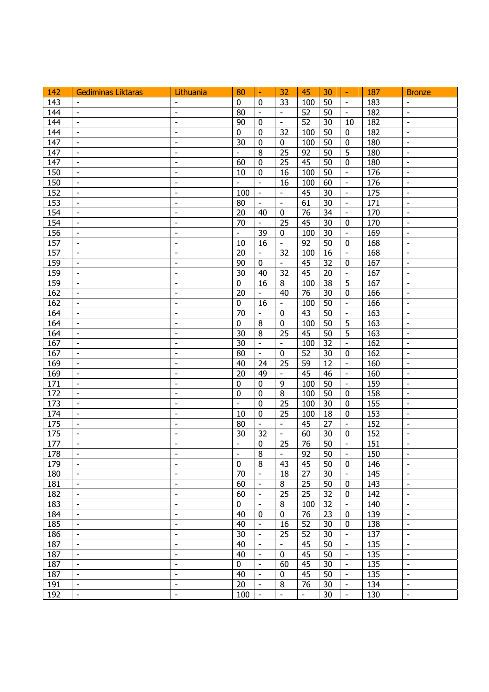| 142        | <b>Gediminas Liktaras</b>    | Lithuania                                            | 80                           | $\blacksquare$           | 32                       | 45                       | 30              | H.                            | 187        | <b>Bronze</b>                                            |
|------------|------------------------------|------------------------------------------------------|------------------------------|--------------------------|--------------------------|--------------------------|-----------------|-------------------------------|------------|----------------------------------------------------------|
| 143        |                              |                                                      | $\mathbf 0$                  | $\mathbf 0$              | 33                       | 100                      | 50              | $\overline{\phantom{a}}$      | 183        |                                                          |
| 144        | $\overline{\phantom{a}}$     | $\overline{\phantom{a}}$                             | 80                           | $\overline{\phantom{a}}$ | $\overline{a}$           | 52                       | 50              | $\overline{\phantom{a}}$      | 182        | $\frac{1}{2}$                                            |
| 144        | $\overline{\phantom{a}}$     | $\blacksquare$                                       | 90                           | $\mathbf 0$              | $\blacksquare$           | $\overline{52}$          | $\overline{30}$ | 10                            | 182        | $\blacksquare$                                           |
| 144        | $\overline{\phantom{a}}$     | $\overline{\phantom{a}}$                             | $\mathbf 0$                  | $\mathbf 0$              | 32                       | 100                      | 50              | $\mathbf 0$                   | 182        | $\overline{\phantom{a}}$                                 |
| 147        | $\overline{\phantom{a}}$     | $\overline{\phantom{a}}$                             | 30                           | $\bf{0}$                 | $\pmb{0}$                | 100                      | 50              | $\pmb{0}$                     | 180        | $\overline{\phantom{a}}$                                 |
| 147        | $\overline{\phantom{a}}$     | $\overline{\phantom{a}}$                             |                              | 8                        | 25                       | 92                       | 50              | 5                             | 180        | $\blacksquare$                                           |
| 147        | $\overline{\phantom{a}}$     | $\overline{\phantom{a}}$                             | 60                           | $\mathbf 0$              | 25                       | 45                       | 50              | $\mathbf 0$                   | 180        | $\overline{\phantom{a}}$                                 |
| 150        | $\overline{\phantom{a}}$     | $\overline{\phantom{a}}$                             | 10                           | $\mathbf 0$              | 16                       | 100                      | 50              | $\overline{\phantom{a}}$      | 176        | $\overline{\phantom{a}}$                                 |
| 150        | $\overline{\phantom{a}}$     | $\overline{\phantom{a}}$                             | $\overline{\phantom{a}}$     | $\blacksquare$           | 16                       | 100                      | 60              | $\overline{\phantom{a}}$      | 176        | $\overline{\phantom{a}}$                                 |
| 152        | $\overline{\phantom{a}}$     | $\overline{\phantom{a}}$                             | 100                          | $\overline{\phantom{a}}$ | $\blacksquare$           | 45                       | 30              | $\overline{\phantom{a}}$      | 175        | $\overline{\phantom{a}}$                                 |
| 153        | $\overline{\phantom{a}}$     | $\overline{\phantom{a}}$                             | 80                           | $\overline{\phantom{a}}$ | $\overline{\phantom{a}}$ | 61                       | 30              | $\overline{\phantom{a}}$      | 171        | $\overline{\phantom{a}}$                                 |
| 154        | $\overline{\phantom{a}}$     | $\overline{\phantom{a}}$                             | 20                           | 40                       | $\mathbf 0$              | 76                       | 34              | $\overline{\phantom{a}}$      | 170        | $\overline{\phantom{a}}$                                 |
| 154        | $\overline{\phantom{a}}$     | $\overline{\phantom{a}}$                             | 70                           | $\overline{\phantom{a}}$ | 25                       | 45                       | 30              | $\pmb{0}$                     | 170        | $\overline{\phantom{a}}$                                 |
| 156        | $\overline{\phantom{a}}$     | $\overline{\phantom{a}}$                             | $\frac{1}{2}$                | 39                       | $\mathbf 0$              | 100                      | 30              | $\sim$                        | 169        | $\overline{a}$                                           |
| 157        | $\overline{\phantom{a}}$     | $\overline{\phantom{a}}$                             | 10                           | 16                       | $\overline{a}$           | 92                       | 50              | $\mathbf 0$                   | 168        | $\overline{a}$                                           |
| 157        | $\overline{\phantom{a}}$     | $\qquad \qquad \blacksquare$                         | 20                           | $\blacksquare$           | 32                       | 100                      | 16              | $\Box$                        | 168        | $\overline{\phantom{a}}$                                 |
| 159        | $\qquad \qquad \blacksquare$ | $\overline{\phantom{a}}$                             | 90                           | $\mathbf 0$              | $\Box$                   | 45                       | $\overline{32}$ | $\mathbf 0$                   | 167        | $\Box$                                                   |
| 159        | $\frac{1}{2}$                | $\overline{\phantom{a}}$                             | 30                           | 40                       | 32                       | 45                       | 20              | $\overline{\phantom{a}}$      | 167        | $\overline{\phantom{a}}$                                 |
| 159        | $\overline{\phantom{a}}$     | $\frac{1}{2}$                                        | $\pmb{0}$                    | 16                       | $\, 8$                   | 100                      | 38              | 5                             | 167        | $\overline{\phantom{a}}$                                 |
| 162        | $\overline{\phantom{a}}$     | $\overline{\phantom{a}}$                             | 20                           | $\blacksquare$           | 40                       | 76                       | 30              | $\mathbf 0$                   | 166        | $\overline{\phantom{a}}$                                 |
| 162        | $\overline{\phantom{a}}$     | $\qquad \qquad \blacksquare$                         | $\mathbf 0$                  | 16                       | $\blacksquare$           | 100                      | 50              | $\overline{\phantom{a}}$      | 166        | $\overline{\phantom{a}}$                                 |
| 164        | $\overline{\phantom{a}}$     | $\overline{\phantom{a}}$                             | 70                           | $\overline{\phantom{a}}$ | $\mathbf 0$              | 43                       | 50              | $\overline{\phantom{a}}$      | 163        | $\overline{\phantom{a}}$                                 |
| 164        | $\overline{\phantom{a}}$     | $\overline{\phantom{a}}$                             | $\overline{0}$               | 8                        | $\mathbf 0$              | 100                      | 50              | $\overline{5}$                | 163        | $\overline{\phantom{a}}$                                 |
| 164        | $\overline{\phantom{a}}$     | $\overline{\phantom{a}}$                             | 30                           | 8                        | 25                       | 45                       | 50              | $\overline{5}$                | 163        | $\overline{\phantom{a}}$                                 |
| 167        | $\qquad \qquad \blacksquare$ | $\overline{\phantom{a}}$                             | $\overline{30}$              | $\overline{a}$           | $\blacksquare$           | 100                      | $\overline{32}$ | $\overline{\phantom{a}}$      | 162        | $\overline{\phantom{a}}$                                 |
| 167        | $\qquad \qquad \blacksquare$ | $\frac{1}{2}$                                        | 80                           | $\overline{\phantom{a}}$ | $\pmb{0}$                | 52                       | 30              | $\pmb{0}$                     | 162        | $\overline{\phantom{a}}$                                 |
| 169        | $\overline{\phantom{a}}$     | $\overline{\phantom{a}}$                             | 40                           | 24                       | 25                       | 59                       | 12              | $\overline{\phantom{a}}$      | 160        | $\frac{1}{2}$                                            |
| 169        | $\overline{\phantom{a}}$     | $\overline{\phantom{a}}$                             | 20                           | 49                       | $\overline{\phantom{a}}$ | 45                       | 46              | $\overline{\phantom{a}}$      | 160        | $\overline{\phantom{a}}$                                 |
| 171        | $\overline{\phantom{a}}$     | $\qquad \qquad \blacksquare$                         | $\pmb{0}$                    | $\mathbf 0$              | 9                        | 100                      | 50              | $\overline{\phantom{a}}$      | 159        | $\qquad \qquad \blacksquare$                             |
| 172        | $\overline{\phantom{a}}$     | $\blacksquare$                                       | $\mathbf 0$                  | $\pmb{0}$                | $\overline{8}$           | 100                      | 50              | $\mathbf 0$                   | 158        | $\overline{\phantom{a}}$                                 |
| 173        | $\overline{\phantom{a}}$     | $\frac{1}{2}$                                        | $\overline{a}$               | $\mathbf 0$              | 25                       | 100                      | 30              | $\pmb{0}$                     | 155        | $\overline{\phantom{a}}$                                 |
| 174        | $\overline{\phantom{a}}$     | $\overline{\phantom{a}}$                             | 10                           | $\mathbf 0$              | 25                       | 100                      | 18              | $\pmb{0}$                     | 153        | $\overline{\phantom{a}}$                                 |
| 175        | $\overline{\phantom{a}}$     | $\overline{\phantom{a}}$                             | 80                           | $\overline{\phantom{a}}$ | $\overline{\phantom{a}}$ | 45                       | 27              | $\blacksquare$                | 152        | $\overline{\phantom{a}}$                                 |
| 175        | $\overline{\phantom{a}}$     | $\overline{\phantom{a}}$                             | 30                           | 32                       | $\overline{\phantom{a}}$ | 60                       | 30              | $\mathbf 0$                   | 152        | $\overline{\phantom{a}}$                                 |
| 177        | $\overline{\phantom{a}}$     | $\overline{\phantom{a}}$                             | $\overline{\phantom{a}}$     | 0                        | 25                       | 76                       | 50              | $\overline{\phantom{a}}$      | 151        |                                                          |
| 178        | $\overline{\phantom{a}}$     | $\overline{\phantom{a}}$                             | $\qquad \qquad \blacksquare$ | $\overline{8}$           | $\frac{1}{2}$            | $\overline{92}$          | 50              | $\blacksquare$                | 150        | $\overline{\phantom{a}}$<br>$\qquad \qquad \blacksquare$ |
|            | $\overline{\phantom{a}}$     |                                                      | $\mathbf 0$                  | 8                        |                          | 45                       |                 |                               |            | $\overline{\phantom{a}}$                                 |
| 179<br>180 | $\overline{\phantom{a}}$     | $\overline{\phantom{a}}$<br>$\overline{\phantom{a}}$ | 70                           | $\overline{\phantom{a}}$ | 43<br>18                 | 27                       | 50<br>30        | 0<br>$\overline{\phantom{a}}$ | 146<br>145 | $\overline{\phantom{a}}$                                 |
|            | $\overline{\phantom{a}}$     | $\overline{\phantom{a}}$                             |                              | $\overline{\phantom{a}}$ |                          |                          | 50              |                               |            | $\overline{\phantom{a}}$                                 |
| 181<br>182 | $\overline{\phantom{a}}$     |                                                      | 60                           | $\overline{\phantom{a}}$ | 8                        | 25                       | 32              | $\mathbf 0$<br>$\mathbf 0$    | 143        |                                                          |
|            |                              | $\overline{\phantom{a}}$                             | 60                           |                          | 25                       | 25                       |                 |                               | 142        | $\overline{\phantom{a}}$                                 |
| 183        | $\overline{\phantom{a}}$     | $\overline{\phantom{a}}$                             | $\mathbf 0$                  | $\overline{\phantom{a}}$ | 8                        | 100                      | 32              | $\overline{\phantom{a}}$      | 140        | $\overline{\phantom{a}}$                                 |
| 184        | $\overline{\phantom{a}}$     | $\overline{\phantom{a}}$                             | 40                           | $\mathbf 0$              | $\pmb{0}$                | 76                       | 23              | $\mathbf 0$                   | 139        | $\overline{\phantom{a}}$                                 |
| 185        | $\overline{\phantom{a}}$     | $\overline{\phantom{a}}$                             | 40                           | $\overline{\phantom{a}}$ | 16                       | 52                       | 30              | $\mathbf 0$                   | 138        | $\overline{\phantom{a}}$                                 |
| 186        | $\overline{\phantom{a}}$     | $\overline{\phantom{a}}$                             | 30                           | $\overline{\phantom{a}}$ | 25                       | 52                       | 30              | $\overline{\phantom{a}}$      | 137        | $\overline{\phantom{a}}$                                 |
| 187        | $\overline{\phantom{a}}$     | $\blacksquare$                                       | 40                           | $\frac{1}{2}$            | ÷,                       | 45                       | 50              | $\overline{\phantom{a}}$      | 135        | $\frac{1}{2}$                                            |
| 187        | $\overline{\phantom{a}}$     | $\blacksquare$                                       | 40                           | $\overline{\phantom{a}}$ | $\mathbf 0$              | 45                       | 50              | $\overline{\phantom{a}}$      | 135        | $\frac{1}{2}$                                            |
| 187        | $\overline{\phantom{a}}$     | $\overline{\phantom{a}}$                             | $\mathbf 0$                  | $\overline{\phantom{a}}$ | 60                       | 45                       | 30              | $\overline{\phantom{a}}$      | 135        | $\overline{\phantom{a}}$                                 |
| 187        | $\overline{\phantom{a}}$     | $\overline{\phantom{a}}$                             | 40                           | $\overline{\phantom{a}}$ | 0                        | 45                       | 50              | $\overline{\phantom{a}}$      | 135        | $\overline{\phantom{a}}$                                 |
| 191        | $\overline{\phantom{a}}$     | $\overline{\phantom{a}}$                             | 20                           | $\overline{\phantom{a}}$ | 8                        | 76                       | 30              | $\overline{\phantom{a}}$      | 134        | $\overline{\phantom{a}}$                                 |
| 192        | $\overline{\phantom{a}}$     | $\overline{\phantom{a}}$                             | 100                          | $\overline{\phantom{a}}$ | $\frac{1}{2}$            | $\overline{\phantom{a}}$ | 30              | $\overline{\phantom{a}}$      | 130        | $\overline{\phantom{a}}$                                 |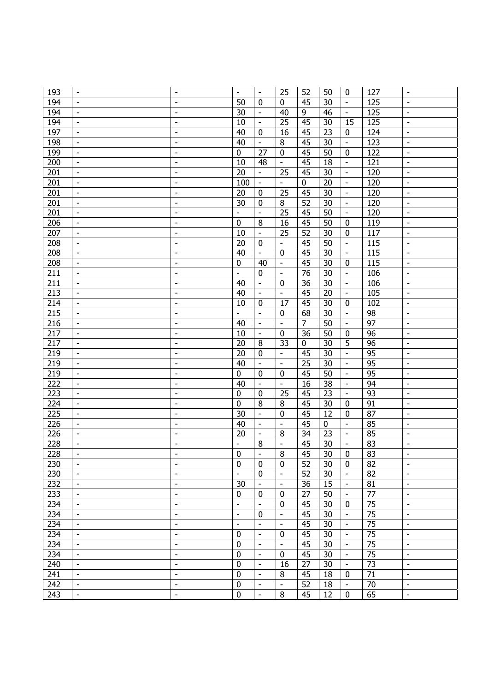| 193        | $\overline{\phantom{a}}$                             | $\qquad \qquad \blacksquare$                         | $\overline{\phantom{a}}$ | $\overline{\phantom{a}}$ | 25                            | 52              | 50          | $\pmb{0}$                               | 127        | $\Box$                                               |
|------------|------------------------------------------------------|------------------------------------------------------|--------------------------|--------------------------|-------------------------------|-----------------|-------------|-----------------------------------------|------------|------------------------------------------------------|
| 194        | $\overline{\phantom{a}}$                             | $\overline{\phantom{a}}$                             | 50                       | $\mathbf 0$              | $\mathbf 0$                   | 45              | 30          | $\overline{\phantom{a}}$                | 125        | $\overline{\phantom{a}}$                             |
| 194        | $\overline{\phantom{a}}$                             | $\overline{\phantom{a}}$                             | 30                       | $\overline{\phantom{a}}$ | 40                            | 9               | 46          | $\blacksquare$                          | 125        | $\overline{\phantom{a}}$                             |
| 194        | $\overline{\phantom{a}}$                             | $\overline{\phantom{a}}$                             | 10                       | $\overline{\phantom{a}}$ | 25                            | 45              | 30          | 15                                      | 125        | $\overline{\phantom{a}}$                             |
| 197        | $\overline{\phantom{a}}$                             | $\overline{\phantom{a}}$                             | 40                       | $\mathbf 0$              | 16                            | 45              | 23          | $\mathbf 0$                             | 124        | $\overline{\phantom{a}}$                             |
| 198        | $\overline{\phantom{a}}$                             | $\overline{\phantom{a}}$                             | 40                       | $\overline{\phantom{a}}$ | $\,8\,$                       | 45              | 30          | $\overline{\phantom{a}}$                | 123        | $\overline{\phantom{a}}$                             |
| 199        | $\overline{\phantom{a}}$                             | $\overline{\phantom{a}}$                             | $\pmb{0}$                | 27                       | $\pmb{0}$                     | 45              | 50          | $\pmb{0}$                               | 122        | $\overline{\phantom{a}}$                             |
| 200        | $\overline{\phantom{a}}$                             | $\overline{\phantom{a}}$                             | 10                       | 48                       | $\overline{\phantom{a}}$      | 45              | 18          | $\overline{\phantom{a}}$                | 121        | $\overline{\phantom{a}}$                             |
| 201        | $\overline{\phantom{a}}$                             | $\overline{\phantom{a}}$                             | 20                       | $\blacksquare$           | 25                            | 45              | 30          | $\overline{\phantom{a}}$                | 120        | $\bar{\phantom{a}}$                                  |
| 201        | $\overline{\phantom{a}}$                             | $\overline{\phantom{a}}$                             | 100                      | $\overline{\phantom{a}}$ | $\overline{a}$                | $\pmb{0}$       | 20          | $\overline{\phantom{a}}$                | 120        | $\overline{a}$                                       |
| 201        | $\overline{\phantom{a}}$                             | $\overline{\phantom{a}}$                             | 20                       | $\mathbf 0$              | 25                            | 45              | 30          | $\sim$                                  | 120        | $\overline{\phantom{a}}$                             |
| 201        | $\overline{\phantom{a}}$                             | $\overline{\phantom{a}}$                             | 30                       | $\mathbf 0$              | 8                             | 52              | 30          | $\overline{\phantom{a}}$                | 120        | $\blacksquare$                                       |
| 201        | $\overline{\phantom{a}}$                             | $\overline{\phantom{a}}$                             | $\overline{a}$           | $\overline{a}$           | 25                            | 45              | 50          | $\overline{\phantom{a}}$                | 120        | $\frac{1}{2}$                                        |
| 206        | $\overline{\phantom{a}}$                             | $\overline{\phantom{a}}$                             | $\mathbf 0$              | 8                        | 16                            | 45              | 50          | $\pmb{0}$                               | 119        | $\overline{\phantom{a}}$                             |
| 207        | $\overline{\phantom{a}}$                             | $\overline{\phantom{a}}$                             | 10                       | $\bar{\phantom{a}}$      | 25                            | 52              | 30          | $\mathbf 0$                             | 117        | $\overline{\phantom{a}}$                             |
|            |                                                      |                                                      | 20                       | $\mathbf 0$              | $\overline{\phantom{0}}$      | 45              | 50          | $\overline{\phantom{a}}$                |            | $\overline{\phantom{a}}$                             |
| 208        | $\overline{\phantom{a}}$                             | $\overline{\phantom{a}}$                             |                          | $\overline{\phantom{a}}$ |                               | 45              |             |                                         | 115        |                                                      |
| 208<br>208 | $\overline{\phantom{a}}$<br>$\overline{\phantom{a}}$ | $\overline{\phantom{a}}$<br>$\overline{\phantom{a}}$ | 40<br>$\mathbf 0$        | 40                       | $\mathbf 0$<br>$\blacksquare$ | 45              | 30<br>30    | $\overline{\phantom{a}}$<br>$\mathbf 0$ | 115<br>115 | $\overline{\phantom{a}}$<br>$\overline{\phantom{a}}$ |
| 211        | $\overline{\phantom{a}}$                             | $\overline{\phantom{a}}$                             | $\overline{a}$           | $\mathbf 0$              | $\overline{\phantom{a}}$      | $\overline{76}$ | 30          | $\overline{\phantom{a}}$                | 106        | $\overline{\phantom{a}}$                             |
|            |                                                      |                                                      |                          |                          |                               |                 |             |                                         |            |                                                      |
| 211        | $\overline{\phantom{a}}$                             | $\overline{\phantom{a}}$                             | 40                       | $\overline{\phantom{a}}$ | $\pmb{0}$                     | 36              | 30          | $\overline{\phantom{a}}$                | 106        | $\blacksquare$                                       |
| 213        | $\overline{\phantom{a}}$                             | $\qquad \qquad \blacksquare$                         | 40                       | $\overline{\phantom{a}}$ | $\overline{\phantom{a}}$      | 45              | 20          | $\overline{\phantom{a}}$                | 105        | $\overline{\phantom{a}}$                             |
| 214        | $\overline{\phantom{a}}$                             | $\overline{\phantom{a}}$                             | 10                       | $\mathbf 0$              | 17                            | 45              | 30          | $\mathbf 0$                             | 102        | $\overline{\phantom{a}}$                             |
| 215        | $\overline{\phantom{a}}$                             | $\overline{\phantom{a}}$                             | $\overline{\phantom{0}}$ | $\blacksquare$           | $\mathbf 0$                   | 68              | 30          | $\overline{\phantom{a}}$                | 98         | $\blacksquare$                                       |
| 216        | $\overline{\phantom{a}}$                             | $\overline{\phantom{a}}$                             | 40                       | $\overline{\phantom{a}}$ | $\overline{\phantom{a}}$      | 7               | 50          | $\overline{\phantom{a}}$                | 97         | $\qquad \qquad \blacksquare$                         |
| 217        | $\overline{\phantom{a}}$                             | $\overline{\phantom{a}}$                             | 10                       | $\overline{\phantom{a}}$ | $\bf{0}$                      | 36              | 50          | $\pmb{0}$                               | 96         | $\overline{\phantom{a}}$                             |
| 217        | $\overline{\phantom{a}}$                             | $\overline{\phantom{a}}$                             | 20                       | 8                        | 33                            | $\mathbf 0$     | 30          | 5                                       | 96         | $\blacksquare$                                       |
| 219        | $\overline{\phantom{a}}$                             | $\overline{\phantom{a}}$                             | 20                       | $\mathbf 0$              | $\blacksquare$                | 45              | 30          | $\blacksquare$                          | 95         | $\blacksquare$                                       |
| 219        | $\overline{\phantom{a}}$                             | $\overline{\phantom{a}}$                             | 40                       | $\overline{\phantom{a}}$ | $\overline{\phantom{0}}$      | 25              | 30          | $\overline{\phantom{a}}$                | 95         | $\overline{\phantom{a}}$                             |
| 219        | $\overline{\phantom{a}}$                             | $\overline{\phantom{a}}$                             | $\mathbf 0$              | $\mathbf 0$              | $\boldsymbol{0}$              | 45              | 50          | $\overline{\phantom{a}}$                | 95         | $\overline{\phantom{a}}$                             |
| 222        | $\overline{\phantom{a}}$                             | $\overline{\phantom{a}}$                             | 40                       | $\overline{\phantom{a}}$ | $\overline{\phantom{a}}$      | 16              | 38          | $\overline{\phantom{a}}$                | 94         | $\overline{\phantom{a}}$                             |
| 223        | $\overline{\phantom{a}}$                             | $\overline{\phantom{a}}$                             | $\mathbf 0$              | $\mathbf 0$              | 25                            | 45              | 23          | $\overline{\phantom{a}}$                | 93         | $\overline{\phantom{a}}$                             |
| 224        | $\overline{\phantom{a}}$                             | $\overline{\phantom{a}}$                             | $\mathbf 0$              | 8                        | 8                             | 45              | 30          | $\mathbf 0$                             | 91         | $\overline{\phantom{a}}$                             |
| 225        | $\overline{\phantom{a}}$                             | $\overline{\phantom{a}}$                             | 30                       | $\bar{\phantom{a}}$      | $\bf{0}$                      | 45              | 12          | $\pmb{0}$                               | 87         | $\overline{\phantom{a}}$                             |
| 226        | $\overline{\phantom{a}}$                             | $\overline{\phantom{a}}$                             | 40                       | $\overline{\phantom{a}}$ | $\bar{\phantom{a}}$           | 45              | $\mathbf 0$ | $\bar{\phantom{a}}$                     | 85         | $\bar{\phantom{a}}$                                  |
| 226        | $\overline{\phantom{a}}$                             | $\overline{\phantom{a}}$                             | 20                       | $\blacksquare$           | 8                             | 34              | 23          | $\overline{\phantom{a}}$                | 85         | $\bar{\phantom{a}}$                                  |
| 228        | $\overline{\phantom{a}}$                             | $\overline{\phantom{a}}$                             | $\frac{1}{2}$            | 8                        | $\frac{1}{2}$                 | 45              | 30          | $\overline{\phantom{a}}$                | 83         | $\blacksquare$                                       |
| 228        |                                                      |                                                      | 0                        |                          | $\overline{8}$                | 45              | 30          | $\overline{0}$                          | 83         |                                                      |
| 230        | $\overline{\phantom{a}}$                             | $\overline{\phantom{a}}$                             | $\mathbf 0$              | 0                        | $\mathbf 0$                   | 52              | 30          | $\mathbf 0$                             | 82         | $\overline{\phantom{a}}$                             |
| 230        | $\overline{\phantom{a}}$                             | $\blacksquare$                                       | $\overline{a}$           | $\mathbf 0$              | $\frac{1}{2}$                 | 52              | 30          | $\overline{\phantom{a}}$                | 82         | $\blacksquare$                                       |
| 232        | $\overline{\phantom{a}}$                             | $\overline{\phantom{0}}$                             | 30                       | $\overline{\phantom{a}}$ | $\overline{a}$                | 36              | 15          | $\overline{\phantom{a}}$                | 81         | $\frac{1}{2}$                                        |
| 233        | $\overline{\phantom{a}}$                             | $\blacksquare$                                       | $\mathbf 0$              | 0                        | $\mathbf 0$                   | 27              | 50          | $\overline{\phantom{a}}$                | 77         | $\overline{\phantom{a}}$                             |
| 234        | $\overline{\phantom{a}}$                             | $\overline{\phantom{a}}$                             | $\overline{\phantom{0}}$ | $\overline{\phantom{a}}$ | 0                             | 45              | 30          | $\mathbf 0$                             | 75         | $\overline{\phantom{a}}$                             |
| 234        | $\overline{\phantom{a}}$                             | $\overline{\phantom{a}}$                             | $\overline{\phantom{0}}$ | $\mathbf 0$              | $\overline{\phantom{a}}$      | 45              | 30          | $\overline{\phantom{a}}$                | 75         | $\overline{\phantom{a}}$                             |
| 234        | $\overline{\phantom{a}}$                             | $\overline{\phantom{a}}$                             | $\overline{\phantom{0}}$ | $\overline{\phantom{a}}$ | $\overline{\phantom{0}}$      | 45              | 30          | $\overline{\phantom{a}}$                | 75         | $\overline{\phantom{a}}$                             |
| 234        | $\overline{\phantom{a}}$                             | $\overline{\phantom{a}}$                             | $\mathbf 0$              | $\overline{\phantom{a}}$ | $\bf{0}$                      | 45              | 30          | $\overline{\phantom{a}}$                | 75         | $\overline{\phantom{a}}$                             |
| 234        | $\overline{\phantom{a}}$                             | $\overline{\phantom{a}}$                             | $\mathbf 0$              | $\overline{\phantom{a}}$ | $\overline{\phantom{a}}$      | 45              | 30          | $\overline{\phantom{a}}$                | 75         | $\overline{a}$                                       |
| 234        | $\overline{\phantom{a}}$                             | $\overline{\phantom{a}}$                             | $\mathbf 0$              | $\overline{\phantom{a}}$ | $\pmb{0}$                     | 45              | 30          | $\overline{\phantom{a}}$                | 75         | $\overline{\phantom{a}}$                             |
| 240        | $\overline{\phantom{a}}$                             | $\overline{\phantom{a}}$                             | $\mathbf 0$              | $\overline{\phantom{a}}$ | 16                            | 27              | 30          | $\overline{\phantom{a}}$                | 73         | $\overline{\phantom{a}}$                             |
| 241        | $\overline{\phantom{a}}$                             | $\overline{a}$                                       | $\mathbf 0$              | $\blacksquare$           | 8                             | 45              | 18          | 0                                       | 71         | $\frac{1}{2}$                                        |
| 242        | $\overline{\phantom{a}}$                             | $\overline{\phantom{a}}$                             | $\mathbf 0$              | $\overline{\phantom{a}}$ | $\overline{\phantom{0}}$      | 52              | 18          | $\overline{\phantom{a}}$                | 70         | $\blacksquare$                                       |
| 243        | $\blacksquare$                                       | $\blacksquare$                                       | $\mathbf 0$              | $\overline{\phantom{a}}$ | 8                             | 45              | 12          | 0                                       | 65         | $\blacksquare$                                       |